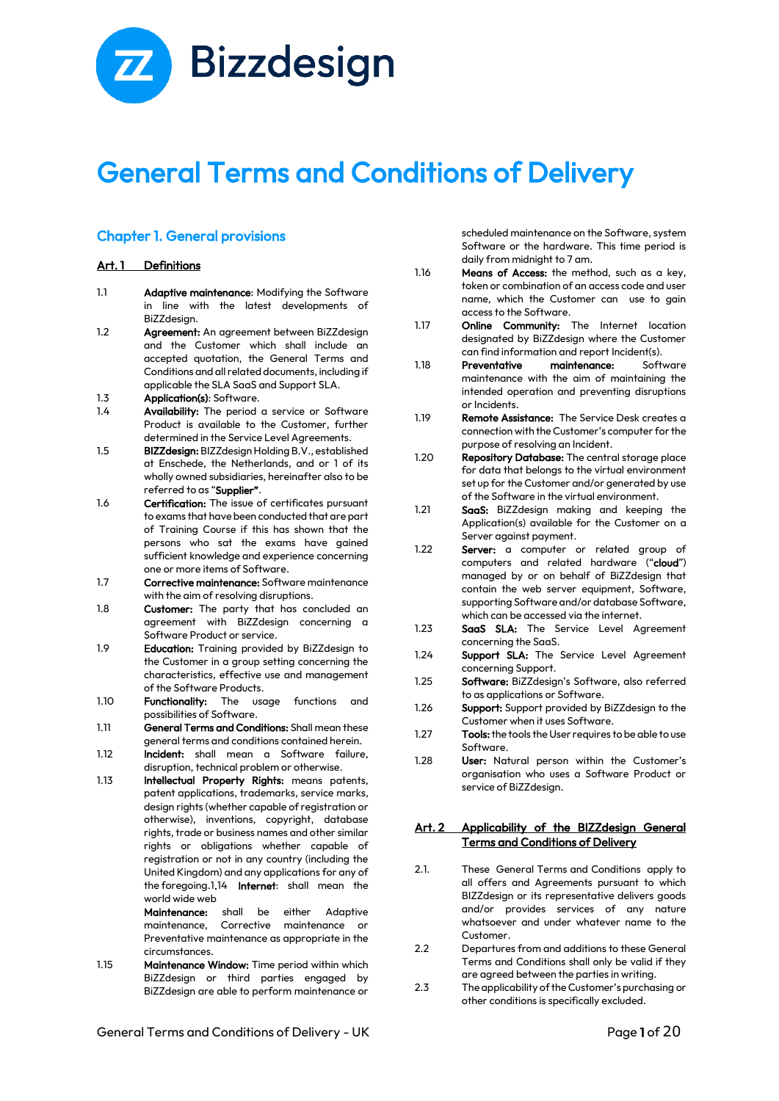# **Z** Bizzdesign

# General Terms and Conditions of Delivery

# Chapter 1. General provisions

#### Art. 1 Definitions

- 1.1 **Adaptive maintenance:** Modifying the Software in line with the latest developments of BiZZdesign.
- 1.2 **Agreement:** An agreement between BiZZdesian and the Customer which shall include an accepted quotation, the General Terms and Conditions and all related documents, including if applicable the SLA SaaS and Support SLA.
- 1.3 Application(s): Software.
- 1.4 Availability: The period a service or Software Product is available to the Customer, further determined in the Service Level Agreements.
- 1.5 BIZZdesign: BIZZdesign Holding B.V., established at Enschede, the Netherlands, and or 1 of its wholly owned subsidiaries, hereinafter also to be referred to as "Supplier".
- 1.6 Certification: The issue of certificates pursuant to exams that have been conducted that are part of Training Course if this has shown that the persons who sat the exams have gained sufficient knowledge and experience concerning one or more items of Software.
- 1.7 Corrective maintenance: Software maintenance with the aim of resolving disruptions.
- 1.8 Customer: The party that has concluded an agreement with BiZZdesign concerning a Software Product or service.
- 1.9 **Education:** Training provided by BiZZdesign to the Customer in a group setting concerning the characteristics, effective use and management of the Software Products.
- 1.10 **Functionality:** The usage functions and possibilities of Software.
- 1.11 General Terms and Conditions: Shall mean these general terms and conditions contained herein.
- 1.12 **Incident:** shall mean a Software failure, disruption, technical problem or otherwise.
- 1.13 Intellectual Property Rights: means patents, patent applications, trademarks, service marks, design rights (whether capable of registration or otherwise), inventions, copyright, database rights, trade or business names and other similar rights or obligations whether capable of registration or not in any country (including the United Kingdom) and any applications for any of the foregoing.1.14 Internet: shall mean the world wide web

Maintenance: shall be either Adaptive maintenance, Corrective maintenance or Preventative maintenance as appropriate in the circumstances.

1.15 Maintenance Window: Time period within which BiZZdesign or third parties engaged by BiZZdesign are able to perform maintenance or scheduled maintenance on the Software, system Software or the hardware. This time period is daily from midnight to 7 am.

- 1.16 Means of Access: the method, such as a key, token or combination of an access code and user name, which the Customer can use to gain access to the Software.
- 1.17 Online Community: The Internet location designated by BiZZdesign where the Customer can find information and report Incident(s).
- 1.18 Preventative maintenance: Software maintenance with the aim of maintaining the intended operation and preventing disruptions or Incidents.
- 1.19 Remote Assistance: The Service Desk creates a connection with the Customer's computer for the purpose of resolving an Incident.
- 1.20 Repository Database: The central storage place for data that belongs to the virtual environment set up for the Customer and/or generated by use of the Software in the virtual environment.
- 1.21 **SaaS:** BiZZdesign making and keeping the Application(s) available for the Customer on a Server against payment.
- 1.22 **Server:** a computer or related group of computers and related hardware ("cloud") managed by or on behalf of BiZZdesign that contain the web server equipment, Software, supporting Software and/or database Software, which can be accessed via the internet.
- 1.23 SaaS SLA: The Service Level Agreement concerning the SaaS.
- 1.24 Support SLA: The Service Level Agreement concerning Support.
- 1.25 Software: BiZZdesign's Software, also referred to as applications or Software.
- 1.26 Support: Support provided by BiZZdesign to the Customer when it uses Software.
- 1.27 Tools: the tools the User requires to be able to use Software.
- 1.28 **User:** Natural person within the Customer's organisation who uses a Software Product or service of BiZZdesign.

#### Art. 2 Applicability of the BIZZdesign General Terms and Conditions of Delivery

- 2.1. These General Terms and Conditions apply to all offers and Agreements pursuant to which BIZZdesign or its representative delivers goods and/or provides services of any nature whatsoever and under whatever name to the Customer.
- 2.2 Departures from and additions to these General Terms and Conditions shall only be valid if they are agreed between the parties in writing.
- 2.3 The applicability of the Customer's purchasing or other conditions is specifically excluded.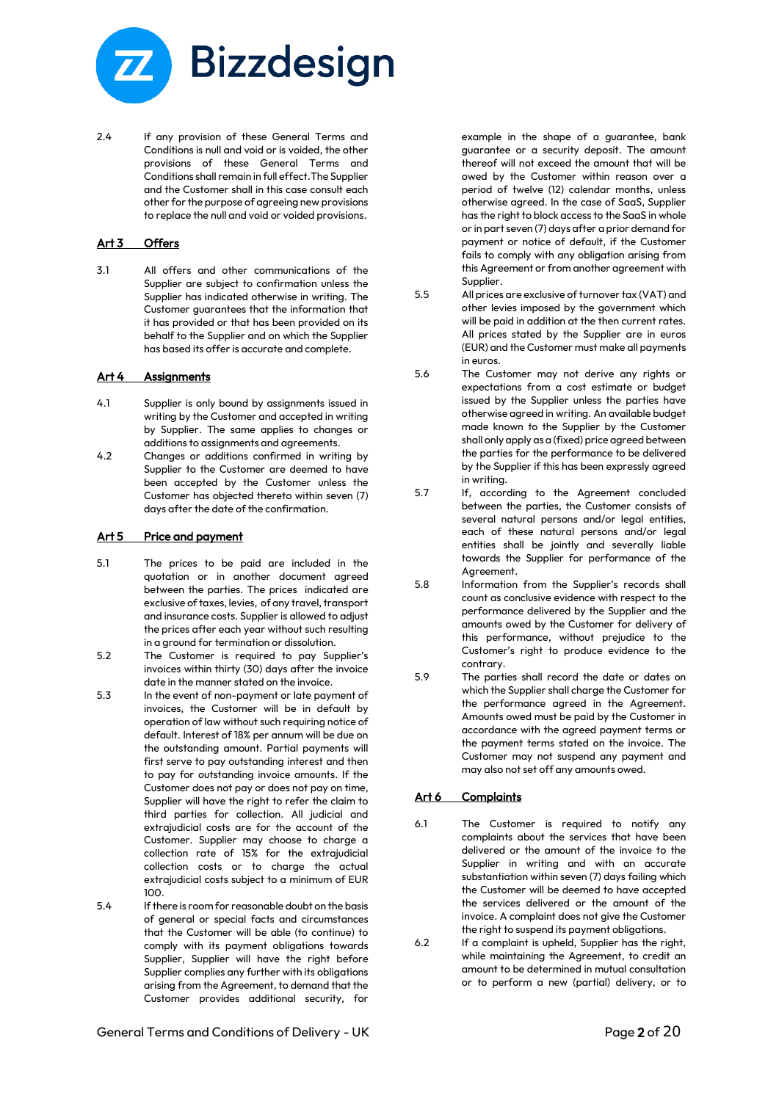

2.4 If any provision of these General Terms and Conditions is null and void or is voided, the other provisions of these General Terms and Conditions shall remain in full effect.The Supplier and the Customer shall in this case consult each other for the purpose of agreeing new provisions to replace the null and void or voided provisions.

#### Art 3 Offers

3.1 All offers and other communications of the Supplier are subject to confirmation unless the Supplier has indicated otherwise in writing. The Customer guarantees that the information that it has provided or that has been provided on its behalf to the Supplier and on which the Supplier has based its offer is accurate and complete.

#### Art 4 Assignments

- 4.1 Supplier is only bound by assignments issued in writing by the Customer and accepted in writing by Supplier. The same applies to changes or additions to assignments and agreements.
- 4.2 Changes or additions confirmed in writing by Supplier to the Customer are deemed to have been accepted by the Customer unless the Customer has objected thereto within seven (7) days after the date of the confirmation.

#### Art 5 Price and payment

- 5.1 The prices to be paid are included in the quotation or in another document agreed between the parties. The prices indicated are exclusive of taxes, levies, of any travel, transport and insurance costs. Supplier is allowed to adjust the prices after each year without such resulting in a ground for termination or dissolution.
- 5.2 The Customer is required to pay Supplier's invoices within thirty (30) days after the invoice date in the manner stated on the invoice.
- 5.3 In the event of non-payment or late payment of invoices, the Customer will be in default by operation of law without such requiring notice of default. Interest of 18% per annum will be due on the outstanding amount. Partial payments will first serve to pay outstanding interest and then to pay for outstanding invoice amounts. If the Customer does not pay or does not pay on time, Supplier will have the right to refer the claim to third parties for collection. All judicial and extrajudicial costs are for the account of the Customer. Supplier may choose to charge a collection rate of 15% for the extrajudicial collection costs or to charge the actual extrajudicial costs subject to a minimum of EUR 100.
- 5.4 If there is room for reasonable doubt on the basis of general or special facts and circumstances that the Customer will be able (to continue) to comply with its payment obligations towards Supplier, Supplier will have the right before Supplier complies any further with its obligations arising from the Agreement, to demand that the Customer provides additional security, for

example in the shape of a guarantee, bank guarantee or a security deposit. The amount thereof will not exceed the amount that will be owed by the Customer within reason over a period of twelve (12) calendar months, unless otherwise agreed. In the case of SaaS, Supplier has the right to block access to the SaaS in whole or in part seven (7) days after a prior demand for payment or notice of default, if the Customer fails to comply with any obligation arising from this Agreement or from another agreement with Supplier.

- 5.5 All prices are exclusive of turnover tax (VAT) and other levies imposed by the government which will be paid in addition at the then current rates. All prices stated by the Supplier are in euros (EUR) and the Customer must make all payments in euros.
- 5.6 The Customer may not derive any rights or expectations from a cost estimate or budget issued by the Supplier unless the parties have otherwise agreed in writing. An available budget made known to the Supplier by the Customer shall only apply as a (fixed) price agreed between the parties for the performance to be delivered by the Supplier if this has been expressly agreed in writing.
- 5.7 If, according to the Agreement concluded between the parties, the Customer consists of several natural persons and/or legal entities, each of these natural persons and/or legal entities shall be jointly and severally liable towards the Supplier for performance of the Agreement.
- 5.8 Information from the Supplier's records shall count as conclusive evidence with respect to the performance delivered by the Supplier and the amounts owed by the Customer for delivery of this performance, without prejudice to the Customer's right to produce evidence to the contrary.
- 5.9 The parties shall record the date or dates on which the Supplier shall charge the Customer for the performance agreed in the Agreement. Amounts owed must be paid by the Customer in accordance with the agreed payment terms or the payment terms stated on the invoice. The Customer may not suspend any payment and may also not set off any amounts owed.

#### Art 6 Complaints

- 6.1 The Customer is required to notify any complaints about the services that have been delivered or the amount of the invoice to the Supplier in writing and with an accurate substantiation within seven (7) days failing which the Customer will be deemed to have accepted the services delivered or the amount of the invoice. A complaint does not give the Customer the right to suspend its payment obligations.
- 6.2 If a complaint is upheld, Supplier has the right, while maintaining the Agreement, to credit an amount to be determined in mutual consultation or to perform a new (partial) delivery, or to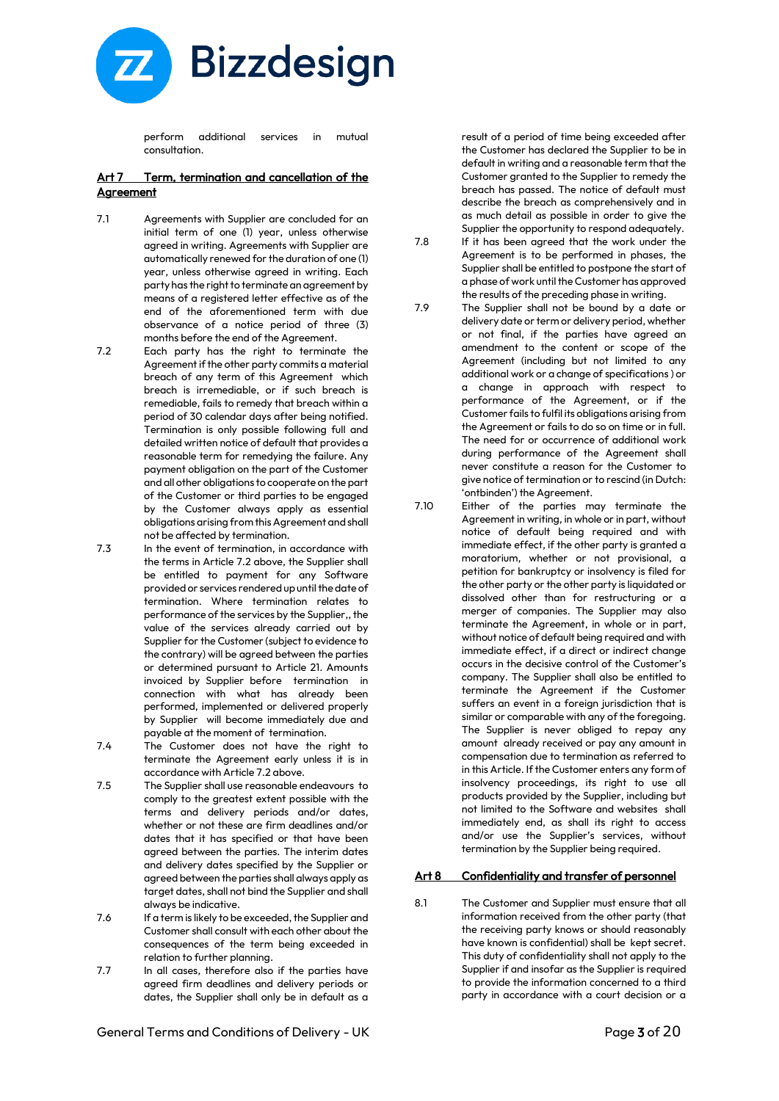

perform additional services in mutual consultation.

#### Art 7 Term, termination and cancellation of the **Agreement**

- 7.1 Agreements with Supplier are concluded for an initial term of one (1) year, unless otherwise agreed in writing. Agreements with Supplier are automatically renewed for the duration of one (1) year, unless otherwise agreed in writing. Each party has the right to terminate an agreement by means of a registered letter effective as of the end of the aforementioned term with due observance of a notice period of three (3) months before the end of the Agreement.
- 7.2 Each party has the right to terminate the Agreement if the other party commits a material breach of any term of this Agreement which breach is irremediable, or if such breach is remediable, fails to remedy that breach within a period of 30 calendar days after being notified. Termination is only possible following full and detailed written notice of default that provides a reasonable term for remedying the failure. Any payment obligation on the part of the Customer and all other obligations to cooperate on the part of the Customer or third parties to be engaged by the Customer always apply as essential obligations arising from this Agreement and shall not be affected by termination.
- 7.3 In the event of termination, in accordance with the terms in Article 7.2 above, the Supplier shall be entitled to payment for any Software provided or services rendered up until the date of termination. Where termination relates to performance of the services by the Supplier,, the value of the services already carried out by Supplier for the Customer (subject to evidence to the contrary) will be agreed between the parties or determined pursuant to Article 21. Amounts invoiced by Supplier before termination in connection with what has already been performed, implemented or delivered properly by Supplier will become immediately due and payable at the moment of termination.
- 7.4 The Customer does not have the right to terminate the Agreement early unless it is in accordance with Article 7.2 above.
- 7.5 The Supplier shall use reasonable endeavours to comply to the greatest extent possible with the terms and delivery periods and/or dates, whether or not these are firm deadlines and/or dates that it has specified or that have been agreed between the parties. The interim dates and delivery dates specified by the Supplier or agreed between the parties shall always apply as target dates, shall not bind the Supplier and shall always be indicative.
- 7.6 If a term is likely to be exceeded, the Supplier and Customer shall consult with each other about the consequences of the term being exceeded in relation to further planning.
- 7.7 In all cases, therefore also if the parties have agreed firm deadlines and delivery periods or dates, the Supplier shall only be in default as a

result of a period of time being exceeded after the Customer has declared the Supplier to be in default in writing and a reasonable term that the Customer granted to the Supplier to remedy the breach has passed. The notice of default must describe the breach as comprehensively and in as much detail as possible in order to give the Supplier the opportunity to respond adequately.

- 7.8 If it has been agreed that the work under the Agreement is to be performed in phases, the Supplier shall be entitled to postpone the start of a phase of work until the Customer has approved the results of the preceding phase in writing.
- 7.9 The Supplier shall not be bound by a date or delivery date or term or delivery period, whether or not final, if the parties have agreed an amendment to the content or scope of the Agreement (including but not limited to any additional work or a change of specifications ) or a change in approach with respect to performance of the Agreement, or if the Customer fails to fulfil its obligations arising from the Agreement or fails to do so on time or in full. The need for or occurrence of additional work during performance of the Agreement shall never constitute a reason for the Customer to give notice of termination or to rescind (in Dutch: 'ontbinden') the Agreement.
- 7.10 Either of the parties may terminate the Agreement in writing, in whole or in part, without notice of default being required and with immediate effect, if the other party is granted a moratorium, whether or not provisional, a petition for bankruptcy or insolvency is filed for the other party or the other party is liquidated or dissolved other than for restructuring or a merger of companies. The Supplier may also terminate the Agreement, in whole or in part, without notice of default being required and with immediate effect, if a direct or indirect change occurs in the decisive control of the Customer's company. The Supplier shall also be entitled to terminate the Agreement if the Customer suffers an event in a foreign jurisdiction that is similar or comparable with any of the foregoing. The Supplier is never obliged to repay any amount already received or pay any amount in compensation due to termination as referred to in this Article. If the Customer enters any form of insolvency proceedings, its right to use all products provided by the Supplier, including but not limited to the Software and websites shall immediately end, as shall its right to access and/or use the Supplier's services, without termination by the Supplier being required.

#### Art 8 Confidentiality and transfer of personnel

8.1 The Customer and Supplier must ensure that all information received from the other party (that the receiving party knows or should reasonably have known is confidential) shall be kept secret. This duty of confidentiality shall not apply to the Supplier if and insofar as the Supplier is required to provide the information concerned to a third party in accordance with a court decision or a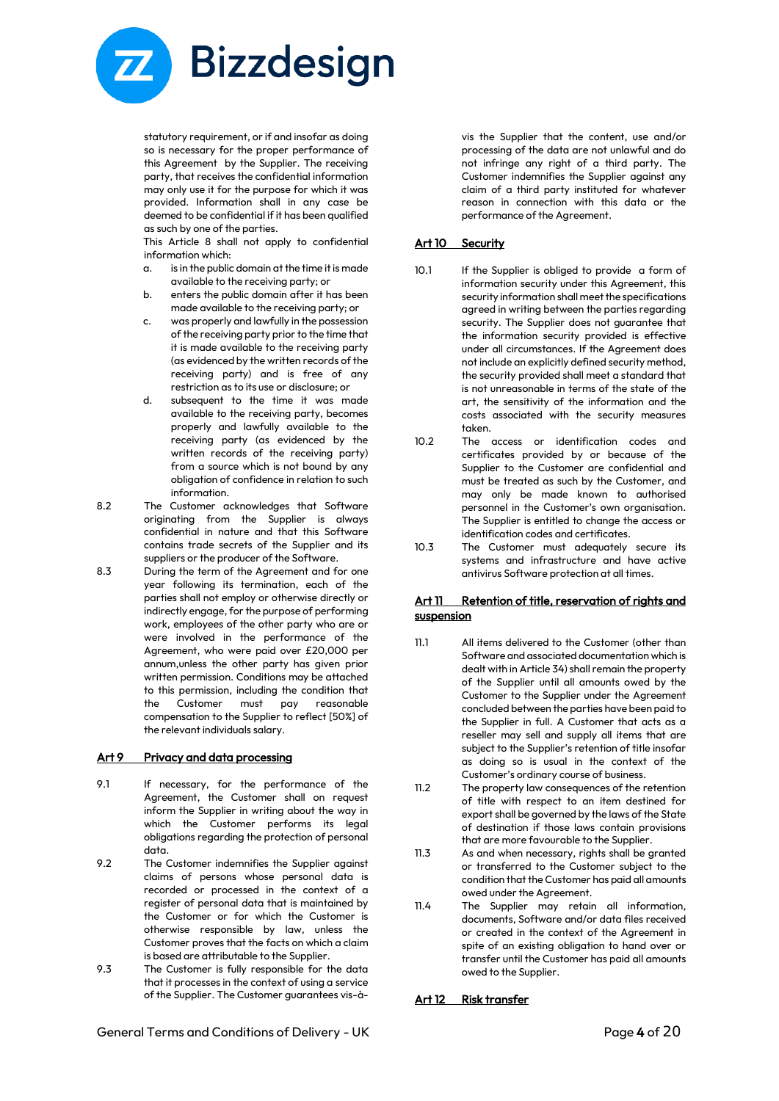

statutory requirement, or if and insofar as doing so is necessary for the proper performance of this Agreement by the Supplier. The receiving party, that receives the confidential information may only use it for the purpose for which it was provided. Information shall in any case be deemed to be confidential if it has been qualified as such by one of the parties.

This Article 8 shall not apply to confidential information which:

- a. is in the public domain at the time it is made available to the receiving party; or
- b. enters the public domain after it has been made available to the receiving party; or
- c. was properly and lawfully in the possession of the receiving party prior to the time that it is made available to the receiving party (as evidenced by the written records of the receiving party) and is free of any restriction as to its use or disclosure; or
- d. subsequent to the time it was made available to the receiving party, becomes properly and lawfully available to the receiving party (as evidenced by the written records of the receiving party) from a source which is not bound by any obligation of confidence in relation to such information.
- 8.2 The Customer acknowledges that Software originating from the Supplier is always confidential in nature and that this Software contains trade secrets of the Supplier and its suppliers or the producer of the Software.
- 8.3 During the term of the Agreement and for one year following its termination, each of the parties shall not employ or otherwise directly or indirectly engage, for the purpose of performing work, employees of the other party who are or were involved in the performance of the Agreement, who were paid over £20,000 per annum,unless the other party has given prior written permission. Conditions may be attached to this permission, including the condition that the Customer must pay reasonable compensation to the Supplier to reflect [50%] of the relevant individuals salary.

#### Art 9 Privacy and data processing

- 9.1 If necessary, for the performance of the Agreement, the Customer shall on request inform the Supplier in writing about the way in which the Customer performs its legal obligations regarding the protection of personal data.
- 9.2 The Customer indemnifies the Supplier against claims of persons whose personal data is recorded or processed in the context of a register of personal data that is maintained by the Customer or for which the Customer is otherwise responsible by law, unless the Customer proves that the facts on which a claim is based are attributable to the Supplier.
- 9.3 The Customer is fully responsible for the data that it processes in the context of using a service of the Supplier. The Customer guarantees vis-à-

vis the Supplier that the content, use and/or processing of the data are not unlawful and do not infringe any right of a third party. The Customer indemnifies the Supplier against any claim of a third party instituted for whatever reason in connection with this data or the performance of the Agreement.

#### Art 10 Security

- 10.1 If the Supplier is obliged to provide a form of information security under this Agreement, this security information shall meet the specifications agreed in writing between the parties regarding security. The Supplier does not guarantee that the information security provided is effective under all circumstances. If the Agreement does not include an explicitly defined security method, the security provided shall meet a standard that is not unreasonable in terms of the state of the art, the sensitivity of the information and the costs associated with the security measures taken.
- 10.2 The access or identification codes and certificates provided by or because of the Supplier to the Customer are confidential and must be treated as such by the Customer, and may only be made known to authorised personnel in the Customer's own organisation. The Supplier is entitled to change the access or identification codes and certificates.
- 10.3 The Customer must adequately secure its systems and infrastructure and have active antivirus Software protection at all times.

#### Art 11 Retention of title, reservation of rights and **suspension**

- 11.1 All items delivered to the Customer (other than Software and associated documentation which is dealt with in Article 34) shall remain the property of the Supplier until all amounts owed by the Customer to the Supplier under the Agreement concluded between the parties have been paid to the Supplier in full. A Customer that acts as a reseller may sell and supply all items that are subject to the Supplier's retention of title insofar as doing so is usual in the context of the Customer's ordinary course of business.
- 11.2 The property law consequences of the retention of title with respect to an item destined for export shall be governed by the laws of the State of destination if those laws contain provisions that are more favourable to the Supplier.
- 11.3 As and when necessary, rights shall be granted or transferred to the Customer subject to the condition that the Customer has paid all amounts owed under the Agreement.
- 11.4 The Supplier may retain all information, documents, Software and/or data files received or created in the context of the Agreement in spite of an existing obligation to hand over or transfer until the Customer has paid all amounts owed to the Supplier.

#### Art 12 Risk transfer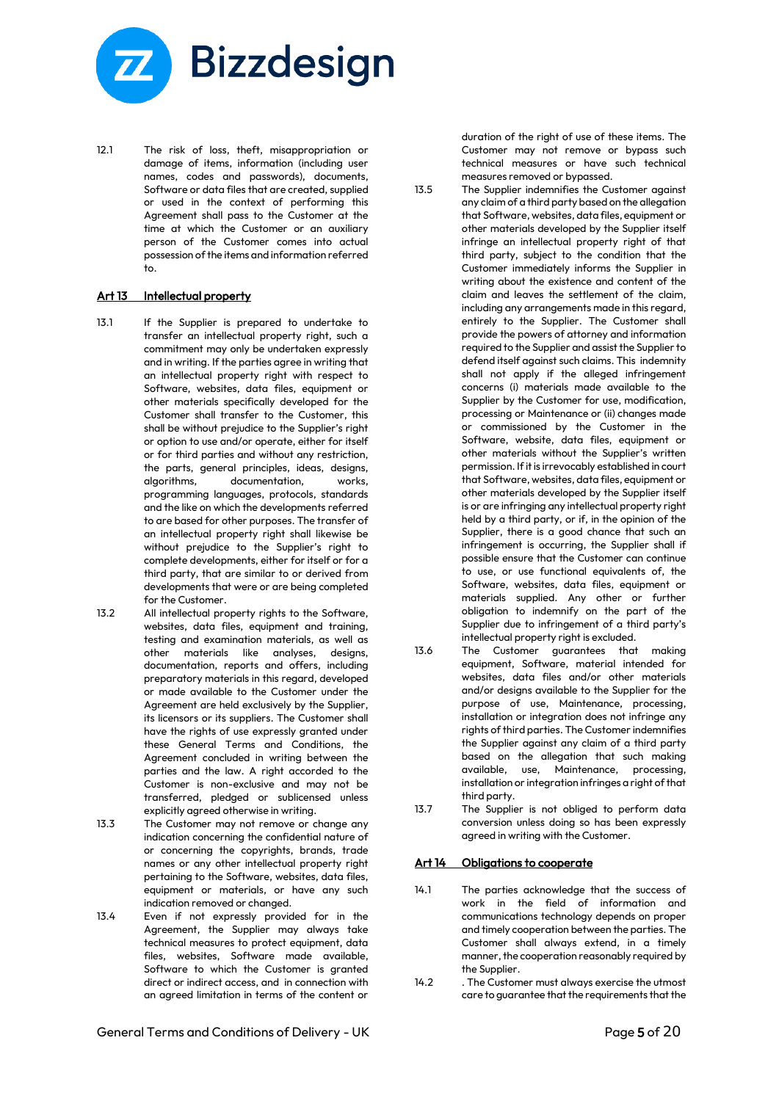

12.1 The risk of loss, theft, misappropriation or damage of items, information (including user names, codes and passwords), documents, Software or data files that are created, supplied or used in the context of performing this Agreement shall pass to the Customer at the time at which the Customer or an auxiliary person of the Customer comes into actual possession of the items and information referred to.

#### Art 13 Intellectual property

- 13.1 If the Supplier is prepared to undertake to transfer an intellectual property right, such a commitment may only be undertaken expressly and in writing. If the parties agree in writing that an intellectual property right with respect to Software, websites, data files, equipment or other materials specifically developed for the Customer shall transfer to the Customer, this shall be without prejudice to the Supplier's right or option to use and/or operate, either for itself or for third parties and without any restriction, the parts, general principles, ideas, designs, algorithms, documentation, works, programming languages, protocols, standards and the like on which the developments referred to are based for other purposes. The transfer of an intellectual property right shall likewise be without prejudice to the Supplier's right to complete developments, either for itself or for a third party, that are similar to or derived from developments that were or are being completed for the Customer.
- 13.2 All intellectual property rights to the Software, websites, data files, equipment and training, testing and examination materials, as well as other materials like analyses, designs, documentation, reports and offers, including preparatory materials in this regard, developed or made available to the Customer under the Agreement are held exclusively by the Supplier, its licensors or its suppliers. The Customer shall have the rights of use expressly granted under these General Terms and Conditions, the Agreement concluded in writing between the parties and the law. A right accorded to the Customer is non-exclusive and may not be transferred, pledged or sublicensed unless explicitly agreed otherwise in writing.
- 13.3 The Customer may not remove or change any indication concerning the confidential nature of or concerning the copyrights, brands, trade names or any other intellectual property right pertaining to the Software, websites, data files, equipment or materials, or have any such indication removed or changed.
- 13.4 Even if not expressly provided for in the Agreement, the Supplier may always take technical measures to protect equipment, data files, websites, Software made available, Software to which the Customer is granted direct or indirect access, and in connection with an agreed limitation in terms of the content or

duration of the right of use of these items. The Customer may not remove or bypass such technical measures or have such technical measures removed or bypassed.

- 13.5 The Supplier indemnifies the Customer against any claim of a third party based on the allegation that Software, websites, data files, equipment or other materials developed by the Supplier itself infringe an intellectual property right of that third party, subject to the condition that the Customer immediately informs the Supplier in writing about the existence and content of the claim and leaves the settlement of the claim, including any arrangements made in this regard, entirely to the Supplier. The Customer shall provide the powers of attorney and information required to the Supplier and assist the Supplier to defend itself against such claims. This indemnity shall not apply if the alleged infringement concerns (i) materials made available to the Supplier by the Customer for use, modification, processing or Maintenance or (ii) changes made or commissioned by the Customer in the Software, website, data files, equipment or other materials without the Supplier's written permission. If it is irrevocably established in court that Software, websites, data files, equipment or other materials developed by the Supplier itself is or are infringing any intellectual property right held by a third party, or if, in the opinion of the Supplier, there is a good chance that such an infringement is occurring, the Supplier shall if possible ensure that the Customer can continue to use, or use functional equivalents of, the Software, websites, data files, equipment or materials supplied. Any other or further obligation to indemnify on the part of the Supplier due to infringement of a third party's intellectual property right is excluded.
- 13.6 The Customer guarantees that making equipment, Software, material intended for websites, data files and/or other materials and/or designs available to the Supplier for the purpose of use, Maintenance, processing, installation or integration does not infringe any rights of third parties. The Customer indemnifies the Supplier against any claim of a third party based on the allegation that such making available, use, Maintenance, processing, installation or integration infringes a right of that third party.
- 13.7 The Supplier is not obliged to perform data conversion unless doing so has been expressly agreed in writing with the Customer.

#### Art 14 Obligations to cooperate

- 14.1 The parties acknowledge that the success of work in the field of information and communications technology depends on proper and timely cooperation between the parties. The Customer shall always extend, in a timely manner, the cooperation reasonably required by the Supplier.
- 14.2 . The Customer must always exercise the utmost care to guarantee that the requirements that the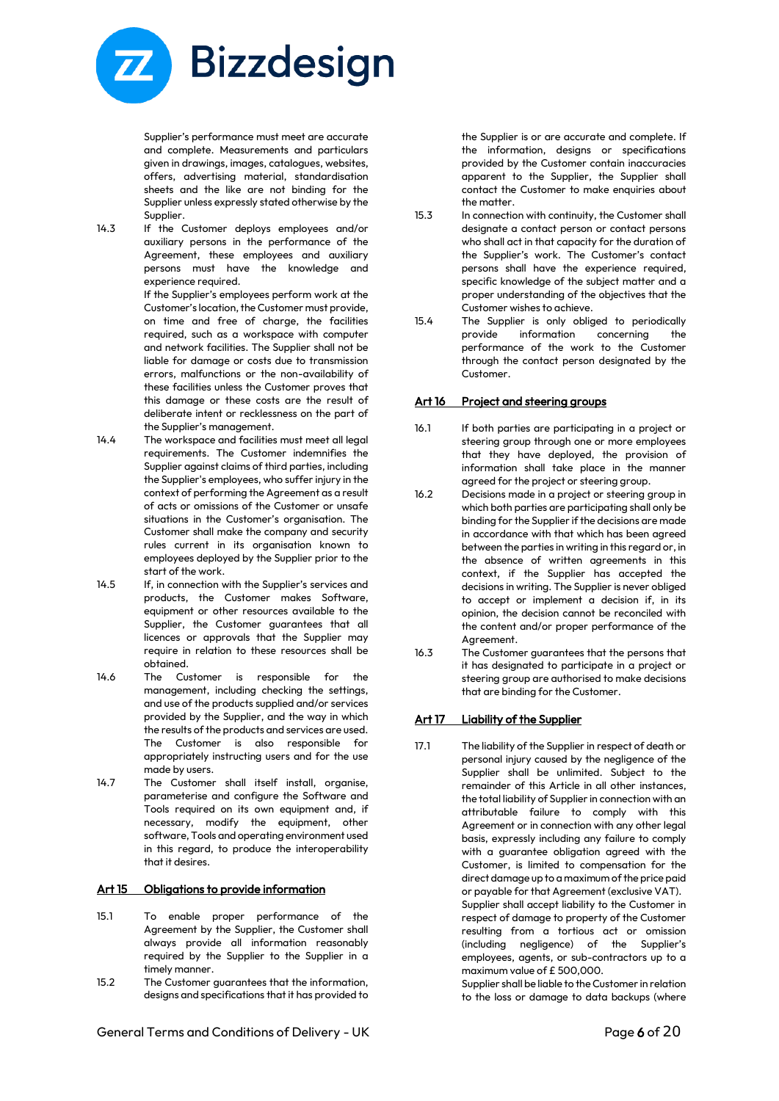

Supplier's performance must meet are accurate and complete. Measurements and particulars given in drawings, images, catalogues, websites, offers, advertising material, standardisation sheets and the like are not binding for the Supplier unless expressly stated otherwise by the Supplier.

14.3 If the Customer deploys employees and/or auxiliary persons in the performance of the Agreement, these employees and auxiliary persons must have the knowledge and experience required.

If the Supplier's employees perform work at the Customer's location, the Customer must provide, on time and free of charge, the facilities required, such as a workspace with computer and network facilities. The Supplier shall not be liable for damage or costs due to transmission errors, malfunctions or the non-availability of these facilities unless the Customer proves that this damage or these costs are the result of deliberate intent or recklessness on the part of the Supplier's management.

- 14.4 The workspace and facilities must meet all legal requirements. The Customer indemnifies the Supplier against claims of third parties, including the Supplier's employees, who suffer injury in the context of performing the Agreement as a result of acts or omissions of the Customer or unsafe situations in the Customer's organisation. The Customer shall make the company and security rules current in its organisation known to employees deployed by the Supplier prior to the start of the work.
- 14.5 If, in connection with the Supplier's services and products, the Customer makes Software, equipment or other resources available to the Supplier, the Customer guarantees that all licences or approvals that the Supplier may require in relation to these resources shall be obtained.
- 14.6 The Customer is responsible for the management, including checking the settings, and use of the products supplied and/or services provided by the Supplier, and the way in which the results of the products and services are used. The Customer is also responsible for appropriately instructing users and for the use made by users.
- 14.7 The Customer shall itself install, organise, parameterise and configure the Software and Tools required on its own equipment and, if necessary, modify the equipment, other software, Tools and operating environment used in this regard, to produce the interoperability that it desires.

#### Art 15 Obligations to provide information

- 15.1 To enable proper performance of the Agreement by the Supplier, the Customer shall always provide all information reasonably required by the Supplier to the Supplier in a timely manner.
- 15.2 The Customer guarantees that the information, designs and specifications that it has provided to

the Supplier is or are accurate and complete. If the information, designs or specifications provided by the Customer contain inaccuracies apparent to the Supplier, the Supplier shall contact the Customer to make enquiries about the matter.

- 15.3 In connection with continuity, the Customer shall designate a contact person or contact persons who shall act in that capacity for the duration of the Supplier's work. The Customer's contact persons shall have the experience required, specific knowledge of the subject matter and a proper understanding of the objectives that the Customer wishes to achieve.
- 15.4 The Supplier is only obliged to periodically provide information concerning the performance of the work to the Customer through the contact person designated by the Customer.

# Art 16 Project and steering groups

- 16.1 If both parties are participating in a project or steering group through one or more employees that they have deployed, the provision of information shall take place in the manner agreed for the project or steering group.
- 16.2 Decisions made in a project or steering group in which both parties are participating shall only be binding for the Supplier if the decisions are made in accordance with that which has been agreed between the parties in writing in this regard or, in the absence of written agreements in this context, if the Supplier has accepted the decisions in writing. The Supplier is never obliged to accept or implement a decision if, in its opinion, the decision cannot be reconciled with the content and/or proper performance of the Agreement.
- 16.3 The Customer guarantees that the persons that it has designated to participate in a project or steering group are authorised to make decisions that are binding for the Customer.

# Art 17 Liability of the Supplier

17.1 The liability of the Supplier in respect of death or personal injury caused by the negligence of the Supplier shall be unlimited. Subject to the remainder of this Article in all other instances, the total liability of Supplier in connection with an attributable failure to comply with this Agreement or in connection with any other legal basis, expressly including any failure to comply with a guarantee obligation agreed with the Customer, is limited to compensation for the direct damage up to a maximum of the price paid or payable for that Agreement (exclusive VAT). Supplier shall accept liability to the Customer in respect of damage to property of the Customer resulting from a tortious act or omission (including negligence) of the Supplier's employees, agents, or sub-contractors up to a maximum value of £ 500,000.

Supplier shall be liable to the Customer in relation to the loss or damage to data backups (where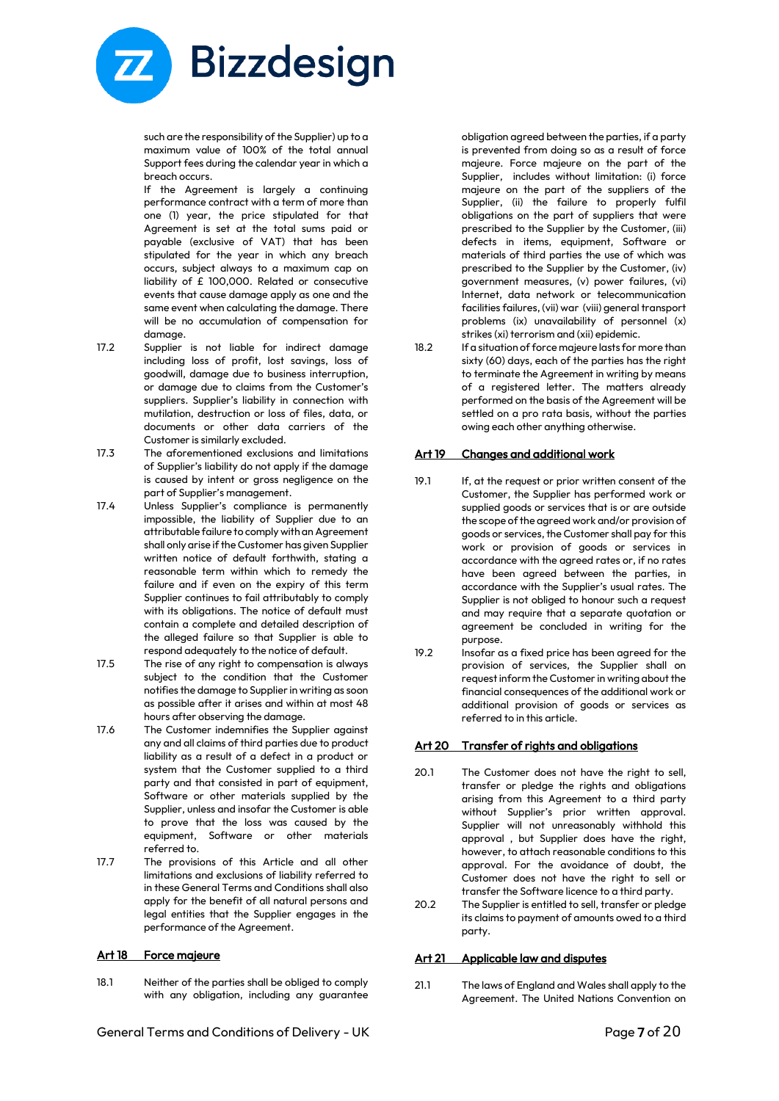

such are the responsibility of the Supplier) up to a maximum value of 100% of the total annual Support fees during the calendar year in which a breach occurs.

If the Agreement is largely a continuing performance contract with a term of more than one (1) year, the price stipulated for that Agreement is set at the total sums paid or payable (exclusive of VAT) that has been stipulated for the year in which any breach occurs, subject always to a maximum cap on liability of £ 100,000. Related or consecutive events that cause damage apply as one and the same event when calculating the damage. There will be no accumulation of compensation for damage.

- 17.2 Supplier is not liable for indirect damage including loss of profit, lost savings, loss of goodwill, damage due to business interruption, or damage due to claims from the Customer's suppliers. Supplier's liability in connection with mutilation, destruction or loss of files, data, or documents or other data carriers of the Customer is similarly excluded.
- 17.3 The aforementioned exclusions and limitations of Supplier's liability do not apply if the damage is caused by intent or gross negligence on the part of Supplier's management.
- 17.4 Unless Supplier's compliance is permanently impossible, the liability of Supplier due to an attributable failure to comply with an Agreement shall only arise if the Customer has given Supplier written notice of default forthwith, stating a reasonable term within which to remedy the failure and if even on the expiry of this term Supplier continues to fail attributably to comply with its obligations. The notice of default must contain a complete and detailed description of the alleged failure so that Supplier is able to respond adequately to the notice of default.
- 17.5 The rise of any right to compensation is always subject to the condition that the Customer notifies the damage to Supplier in writing as soon as possible after it arises and within at most 48 hours after observing the damage.
- 17.6 The Customer indemnifies the Supplier against any and all claims of third parties due to product liability as a result of a defect in a product or system that the Customer supplied to a third party and that consisted in part of equipment, Software or other materials supplied by the Supplier, unless and insofar the Customer is able to prove that the loss was caused by the equipment, Software or other materials referred to.
- 17.7 The provisions of this Article and all other limitations and exclusions of liability referred to in these General Terms and Conditions shall also apply for the benefit of all natural persons and legal entities that the Supplier engages in the performance of the Agreement.

#### Art 18 Force majeure

18.1 Neither of the parties shall be obliged to comply with any obligation, including any guarantee obligation agreed between the parties, if a party is prevented from doing so as a result of force majeure. Force majeure on the part of the Supplier, includes without limitation: (i) force majeure on the part of the suppliers of the Supplier, (ii) the failure to properly fulfil obligations on the part of suppliers that were prescribed to the Supplier by the Customer, (iii) defects in items, equipment, Software or materials of third parties the use of which was prescribed to the Supplier by the Customer, (iv) government measures, (v) power failures, (vi) Internet, data network or telecommunication facilities failures, (vii) war (viii) general transport problems (ix) unavailability of personnel (x) strikes (xi) terrorism and (xii) epidemic.

18.2 If a situation of force majeure lasts for more than sixty (60) days, each of the parties has the right to terminate the Agreement in writing by means of a registered letter. The matters already performed on the basis of the Agreement will be settled on a pro rata basis, without the parties owing each other anything otherwise.

#### Art 19 Changes and additional work

- 19.1 If, at the request or prior written consent of the Customer, the Supplier has performed work or supplied goods or services that is or are outside the scope of the agreed work and/or provision of goods or services, the Customer shall pay for this work or provision of goods or services in accordance with the agreed rates or, if no rates have been agreed between the parties, in accordance with the Supplier's usual rates. The Supplier is not obliged to honour such a request and may require that a separate quotation or agreement be concluded in writing for the purpose.
- 19.2 Insofar as a fixed price has been agreed for the provision of services, the Supplier shall on request inform the Customer in writing about the financial consequences of the additional work or additional provision of goods or services as referred to in this article.

#### Art 20 Transfer of rights and obligations

- 20.1 The Customer does not have the right to sell, transfer or pledge the rights and obligations arising from this Agreement to a third party without Supplier's prior written approval. Supplier will not unreasonably withhold this approval , but Supplier does have the right, however, to attach reasonable conditions to this approval. For the avoidance of doubt, the Customer does not have the right to sell or transfer the Software licence to a third party.
- 20.2 The Supplier is entitled to sell, transfer or pledge its claims to payment of amounts owed to a third party.

#### Art 21 Applicable law and disputes

21.1 The laws of England and Wales shall apply to the Agreement. The United Nations Convention on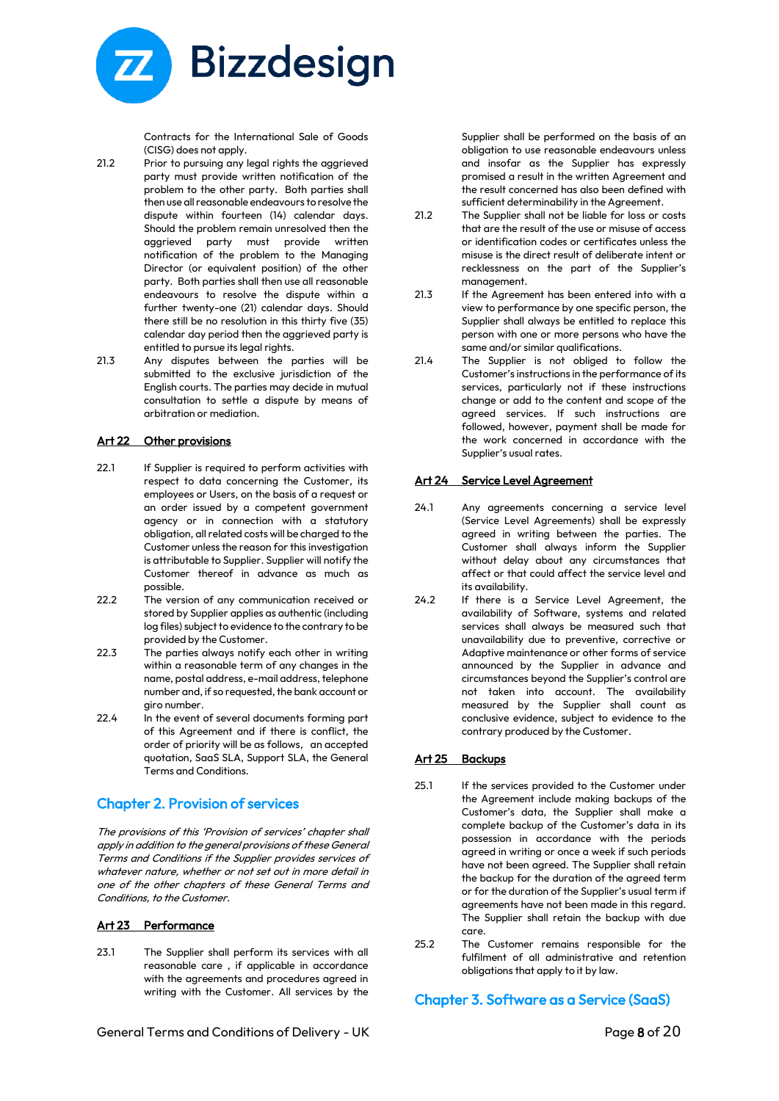

Contracts for the International Sale of Goods (CISG) does not apply.

- 21.2 Prior to pursuing any legal rights the aggrieved party must provide written notification of the problem to the other party. Both parties shall then use all reasonable endeavours to resolve the dispute within fourteen (14) calendar days. Should the problem remain unresolved then the aggrieved party must provide written notification of the problem to the Managing Director (or equivalent position) of the other party. Both parties shall then use all reasonable endeavours to resolve the dispute within a further twenty-one (21) calendar days. Should there still be no resolution in this thirty five (35) calendar day period then the aggrieved party is entitled to pursue its legal rights.
- 21.3 Any disputes between the parties will be submitted to the exclusive jurisdiction of the English courts. The parties may decide in mutual consultation to settle a dispute by means of arbitration or mediation.

#### Art 22 Other provisions

- 22.1 If Supplier is required to perform activities with respect to data concerning the Customer, its employees or Users, on the basis of a request or an order issued by a competent government agency or in connection with a statutory obligation, all related costs will be charged to the Customer unless the reason for this investigation is attributable to Supplier. Supplier will notify the Customer thereof in advance as much as possible.
- 22.2 The version of any communication received or stored by Supplier applies as authentic (including log files) subject to evidence to the contrary to be provided by the Customer.
- 22.3 The parties always notify each other in writing within a reasonable term of any changes in the name, postal address, e-mail address, telephone number and, if so requested, the bank account or giro number.
- 22.4 In the event of several documents forming part of this Agreement and if there is conflict, the order of priority will be as follows, an accepted quotation, SaaS SLA, Support SLA, the General Terms and Conditions.

# Chapter 2. Provision of services

The provisions of this 'Provision of services' chapter shall apply in addition to the general provisions of these General Terms and Conditions if the Supplier provides services of whatever nature, whether or not set out in more detail in one of the other chapters of these General Terms and Conditions, to the Customer.

#### Art 23 Performance

23.1 The Supplier shall perform its services with all reasonable care , if applicable in accordance with the agreements and procedures agreed in writing with the Customer. All services by the Supplier shall be performed on the basis of an obligation to use reasonable endeavours unless and insofar as the Supplier has expressly promised a result in the written Agreement and the result concerned has also been defined with sufficient determinability in the Agreement.

- 21.2 The Supplier shall not be liable for loss or costs that are the result of the use or misuse of access or identification codes or certificates unless the misuse is the direct result of deliberate intent or recklessness on the part of the Supplier's management.
- 21.3 If the Agreement has been entered into with a view to performance by one specific person, the Supplier shall always be entitled to replace this person with one or more persons who have the same and/or similar qualifications.
- 21.4 The Supplier is not obliged to follow the Customer's instructions in the performance of its services, particularly not if these instructions change or add to the content and scope of the agreed services. If such instructions are followed, however, payment shall be made for the work concerned in accordance with the Supplier's usual rates.

#### Art 24 Service Level Agreement

- 24.1 Any agreements concerning a service level (Service Level Agreements) shall be expressly agreed in writing between the parties. The Customer shall always inform the Supplier without delay about any circumstances that affect or that could affect the service level and its availability.
- 24.2 If there is a Service Level Agreement, the availability of Software, systems and related services shall always be measured such that unavailability due to preventive, corrective or Adaptive maintenance or other forms of service announced by the Supplier in advance and circumstances beyond the Supplier's control are not taken into account. The availability measured by the Supplier shall count as conclusive evidence, subject to evidence to the contrary produced by the Customer.

#### Art 25 Backups

- 25.1 If the services provided to the Customer under the Agreement include making backups of the Customer's data, the Supplier shall make a complete backup of the Customer's data in its possession in accordance with the periods agreed in writing or once a week if such periods have not been agreed. The Supplier shall retain the backup for the duration of the agreed term or for the duration of the Supplier's usual term if agreements have not been made in this regard. The Supplier shall retain the backup with due care.
- 25.2 The Customer remains responsible for the fulfilment of all administrative and retention obligations that apply to it by law.

# Chapter 3. Software as a Service (SaaS)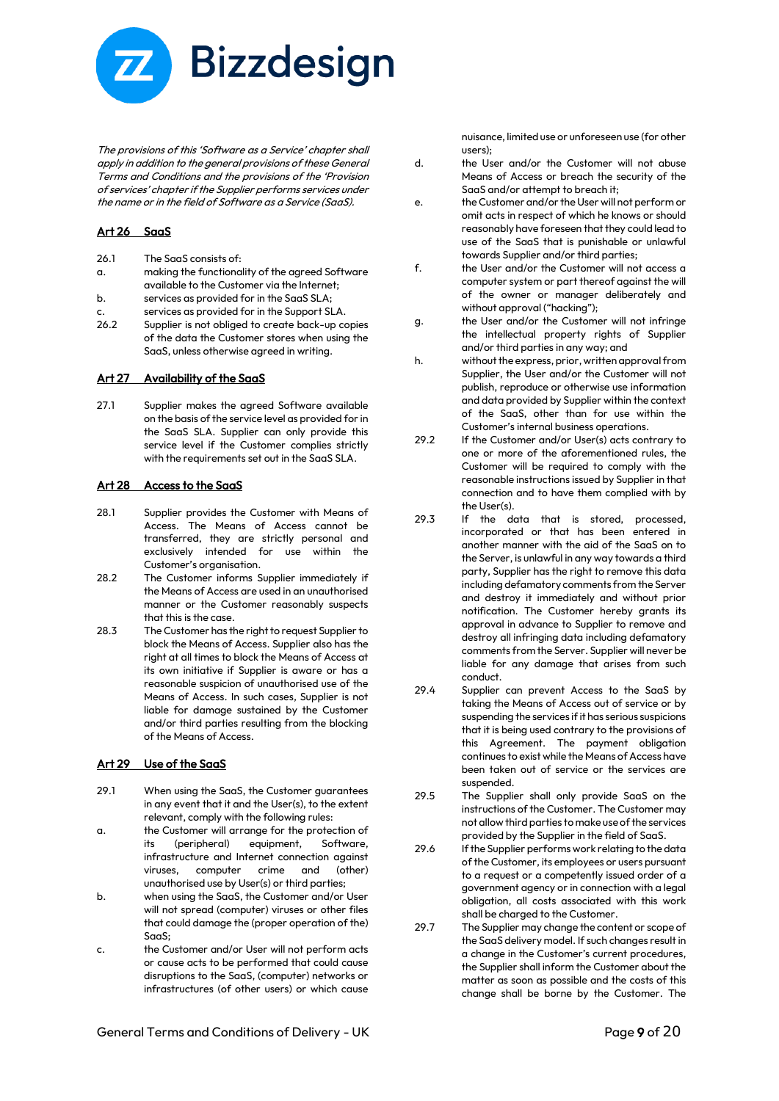

The provisions of this 'Software as a Service' chapter shall apply in addition to the general provisions of these General Terms and Conditions and the provisions of the 'Provision of services' chapter if the Supplier performs services under the name or in the field of Software as a Service (SaaS).

#### Art 26 SaaS

26.1 The SaaS consists of:

- a. making the functionality of the agreed Software available to the Customer via the Internet;
- b. services as provided for in the SaaS SLA;
- c. services as provided for in the Support SLA.
- 26.2 Supplier is not obliged to create back-up copies of the data the Customer stores when using the SaaS, unless otherwise agreed in writing.

#### Art 27 Availability of the SaaS

27.1 Supplier makes the agreed Software available on the basis of the service level as provided for in the SaaS SLA. Supplier can only provide this service level if the Customer complies strictly with the requirements set out in the SaaS SLA.

#### Art 28 Access to the SaaS

- 28.1 Supplier provides the Customer with Means of Access. The Means of Access cannot be transferred, they are strictly personal and exclusively intended for use within the Customer's organisation.
- 28.2 The Customer informs Supplier immediately if the Means of Access are used in an unauthorised manner or the Customer reasonably suspects that this is the case.
- 28.3 The Customer has the right to request Supplier to block the Means of Access. Supplier also has the right at all times to block the Means of Access at its own initiative if Supplier is aware or has a reasonable suspicion of unauthorised use of the Means of Access. In such cases, Supplier is not liable for damage sustained by the Customer and/or third parties resulting from the blocking of the Means of Access.

#### Art 29 Use of the SaaS

- 29.1 When using the SaaS, the Customer guarantees in any event that it and the User(s), to the extent relevant, comply with the following rules:
- a. the Customer will arrange for the protection of its (peripheral) equipment, Software, infrastructure and Internet connection against viruses, computer crime and (other) unauthorised use by User(s) or third parties;
- b. when using the SaaS, the Customer and/or User will not spread (computer) viruses or other files that could damage the (proper operation of the) SaaS;
- c. the Customer and/or User will not perform acts or cause acts to be performed that could cause disruptions to the SaaS, (computer) networks or infrastructures (of other users) or which cause

nuisance, limited use or unforeseen use (for other users);

- d. the User and/or the Customer will not abuse Means of Access or breach the security of the SaaS and/or attempt to breach it;
- e. the Customer and/or the User will not perform or omit acts in respect of which he knows or should reasonably have foreseen that they could lead to use of the SaaS that is punishable or unlawful towards Supplier and/or third parties;
- f. the User and/or the Customer will not access a computer system or part thereof against the will of the owner or manager deliberately and without approval ("hacking");
- g. the User and/or the Customer will not infringe the intellectual property rights of Supplier and/or third parties in any way; and
- h. without the express, prior, written approval from Supplier, the User and/or the Customer will not publish, reproduce or otherwise use information and data provided by Supplier within the context of the SaaS, other than for use within the Customer's internal business operations.
- 29.2 If the Customer and/or User(s) acts contrary to one or more of the aforementioned rules, the Customer will be required to comply with the reasonable instructions issued by Supplier in that connection and to have them complied with by the User(s).
- 29.3 If the data that is stored, processed, incorporated or that has been entered in another manner with the aid of the SaaS on to the Server, is unlawful in any way towards a third party, Supplier has the right to remove this data including defamatory comments from the Server and destroy it immediately and without prior notification. The Customer hereby grants its approval in advance to Supplier to remove and destroy all infringing data including defamatory comments from the Server. Supplier will never be liable for any damage that arises from such conduct.
- 29.4 Supplier can prevent Access to the SaaS by taking the Means of Access out of service or by suspending the services if it has serious suspicions that it is being used contrary to the provisions of this Agreement. The payment obligation continues to exist while the Means of Access have been taken out of service or the services are suspended.
- 29.5 The Supplier shall only provide SaaS on the instructions of the Customer. The Customer may not allow third parties to make use of the services provided by the Supplier in the field of SaaS.
- 29.6 If the Supplier performs work relating to the data of the Customer, its employees or users pursuant to a request or a competently issued order of a government agency or in connection with a legal obligation, all costs associated with this work shall be charged to the Customer.
- 29.7 The Supplier may change the content or scope of the SaaS delivery model. If such changes result in a change in the Customer's current procedures, the Supplier shall inform the Customer about the matter as soon as possible and the costs of this change shall be borne by the Customer. The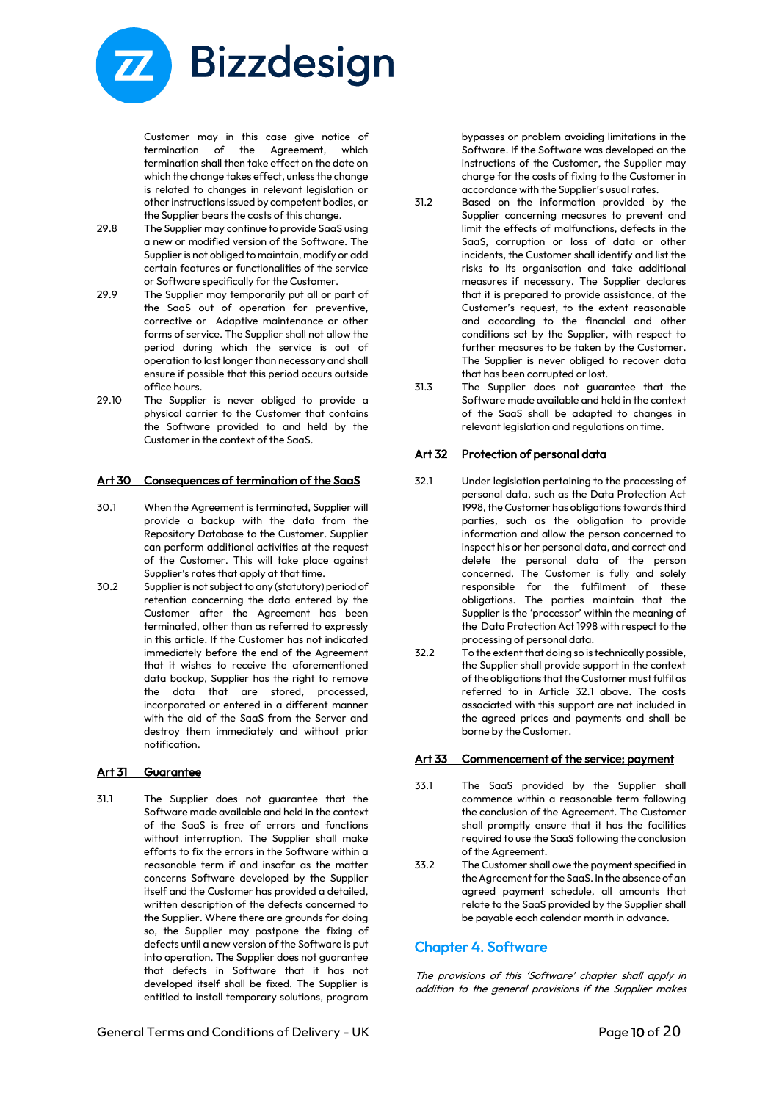

Customer may in this case give notice of termination of the Agreement, which termination shall then take effect on the date on which the change takes effect, unless the change is related to changes in relevant legislation or other instructions issued by competent bodies, or the Supplier bears the costs of this change.

- 29.8 The Supplier may continue to provide SaaS using a new or modified version of the Software. The Supplier is not obliged to maintain, modify or add certain features or functionalities of the service or Software specifically for the Customer.
- 29.9 The Supplier may temporarily put all or part of the SaaS out of operation for preventive, corrective or Adaptive maintenance or other forms of service. The Supplier shall not allow the period during which the service is out of operation to last longer than necessary and shall ensure if possible that this period occurs outside office hours.
- 29.10 The Supplier is never obliged to provide a physical carrier to the Customer that contains the Software provided to and held by the Customer in the context of the SaaS.

#### Art 30 Consequences of termination of the SaaS

- 30.1 When the Agreement is terminated, Supplier will provide a backup with the data from the Repository Database to the Customer. Supplier can perform additional activities at the request of the Customer. This will take place against Supplier's rates that apply at that time.
- 30.2 Supplier is not subject to any (statutory) period of retention concerning the data entered by the Customer after the Agreement has been terminated, other than as referred to expressly in this article. If the Customer has not indicated immediately before the end of the Agreement that it wishes to receive the aforementioned data backup, Supplier has the right to remove the data that are stored, processed, incorporated or entered in a different manner with the aid of the SaaS from the Server and destroy them immediately and without prior notification.

#### Art 31 Guarantee

31.1 The Supplier does not guarantee that the Software made available and held in the context of the SaaS is free of errors and functions without interruption. The Supplier shall make efforts to fix the errors in the Software within a reasonable term if and insofar as the matter concerns Software developed by the Supplier itself and the Customer has provided a detailed, written description of the defects concerned to the Supplier. Where there are grounds for doing so, the Supplier may postpone the fixing of defects until a new version of the Software is put into operation. The Supplier does not guarantee that defects in Software that it has not developed itself shall be fixed. The Supplier is entitled to install temporary solutions, program bypasses or problem avoiding limitations in the Software. If the Software was developed on the instructions of the Customer, the Supplier may charge for the costs of fixing to the Customer in accordance with the Supplier's usual rates.

- 31.2 Based on the information provided by the Supplier concerning measures to prevent and limit the effects of malfunctions, defects in the SaaS, corruption or loss of data or other incidents, the Customer shall identify and list the risks to its organisation and take additional measures if necessary. The Supplier declares that it is prepared to provide assistance, at the Customer's request, to the extent reasonable and according to the financial and other conditions set by the Supplier, with respect to further measures to be taken by the Customer. The Supplier is never obliged to recover data that has been corrupted or lost.
- 31.3 The Supplier does not guarantee that the Software made available and held in the context of the SaaS shall be adapted to changes in relevant legislation and regulations on time.

#### Art 32 Protection of personal data

- 32.1 Under legislation pertaining to the processing of personal data, such as the Data Protection Act 1998, the Customer has obligations towards third parties, such as the obligation to provide information and allow the person concerned to inspect his or her personal data, and correct and delete the personal data of the person concerned. The Customer is fully and solely responsible for the fulfilment of these obligations. The parties maintain that the Supplier is the 'processor' within the meaning of the Data Protection Act 1998 with respect to the processing of personal data.
- 32.2 To the extent that doing so is technically possible, the Supplier shall provide support in the context of the obligations that the Customer must fulfil as referred to in Article 32.1 above. The costs associated with this support are not included in the agreed prices and payments and shall be borne by the Customer.

#### Art 33 Commencement of the service; payment

- 33.1 The SaaS provided by the Supplier shall commence within a reasonable term following the conclusion of the Agreement. The Customer shall promptly ensure that it has the facilities required to use the SaaS following the conclusion of the Agreement.
- 33.2 The Customer shall owe the payment specified in the Agreement for the SaaS. In the absence of an agreed payment schedule, all amounts that relate to the SaaS provided by the Supplier shall be payable each calendar month in advance.

#### Chapter 4. Software

The provisions of this 'Software' chapter shall apply in addition to the general provisions if the Supplier makes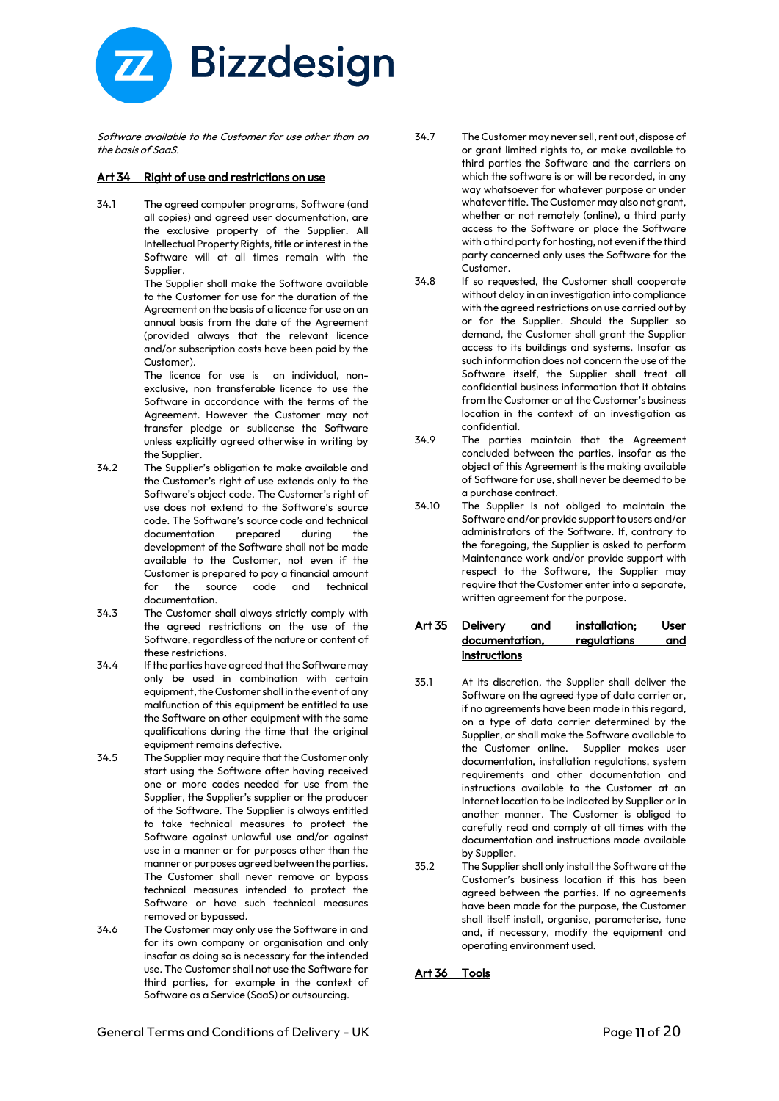

Software available to the Customer for use other than on the basis of SaaS.

#### Art 34 Right of use and restrictions on use

34.1 The agreed computer programs, Software (and all copies) and agreed user documentation, are the exclusive property of the Supplier. All Intellectual Property Rights, title or interest in the Software will at all times remain with the Supplier.

> The Supplier shall make the Software available to the Customer for use for the duration of the Agreement on the basis of a licence for use on an annual basis from the date of the Agreement (provided always that the relevant licence and/or subscription costs have been paid by the Customer).

> The licence for use is an individual, nonexclusive, non transferable licence to use the Software in accordance with the terms of the Agreement. However the Customer may not transfer pledge or sublicense the Software unless explicitly agreed otherwise in writing by the Supplier.

- 34.2 The Supplier's obligation to make available and the Customer's right of use extends only to the Software's object code. The Customer's right of use does not extend to the Software's source code. The Software's source code and technical documentation prepared during the development of the Software shall not be made available to the Customer, not even if the Customer is prepared to pay a financial amount for the source code and technical documentation.
- 34.3 The Customer shall always strictly comply with the agreed restrictions on the use of the Software, regardless of the nature or content of these restrictions.
- 34.4 If the parties have agreed that the Software may only be used in combination with certain equipment, the Customer shall in the event of any malfunction of this equipment be entitled to use the Software on other equipment with the same qualifications during the time that the original equipment remains defective.
- 34.5 The Supplier may require that the Customer only start using the Software after having received one or more codes needed for use from the Supplier, the Supplier's supplier or the producer of the Software. The Supplier is always entitled to take technical measures to protect the Software against unlawful use and/or against use in a manner or for purposes other than the manner or purposes agreed between the parties. The Customer shall never remove or bypass technical measures intended to protect the Software or have such technical measures removed or bypassed.
- 34.6 The Customer may only use the Software in and for its own company or organisation and only insofar as doing so is necessary for the intended use. The Customer shall not use the Software for third parties, for example in the context of Software as a Service (SaaS) or outsourcing.
- 34.7 The Customer may never sell, rent out, dispose of or grant limited rights to, or make available to third parties the Software and the carriers on which the software is or will be recorded, in any way whatsoever for whatever purpose or under whatever title. The Customer may also not grant, whether or not remotely (online), a third party access to the Software or place the Software with a third party for hosting, not even if the third party concerned only uses the Software for the Customer.
- 34.8 If so requested, the Customer shall cooperate without delay in an investigation into compliance with the agreed restrictions on use carried out by or for the Supplier. Should the Supplier so demand, the Customer shall grant the Supplier access to its buildings and systems. Insofar as such information does not concern the use of the Software itself, the Supplier shall treat all confidential business information that it obtains from the Customer or at the Customer's business location in the context of an investigation as confidential.
- 34.9 The parties maintain that the Agreement concluded between the parties, insofar as the object of this Agreement is the making available of Software for use, shall never be deemed to be a purchase contract.
- 34.10 The Supplier is not obliged to maintain the Software and/or provide support to users and/or administrators of the Software. If, contrary to the foregoing, the Supplier is asked to perform Maintenance work and/or provide support with respect to the Software, the Supplier may require that the Customer enter into a separate, written agreement for the purpose.

#### Art 35 Delivery and installation; User documentation, regulations and instructions

- 35.1 At its discretion, the Supplier shall deliver the Software on the agreed type of data carrier or, if no agreements have been made in this regard, on a type of data carrier determined by the Supplier, or shall make the Software available to the Customer online. Supplier makes user documentation, installation regulations, system requirements and other documentation and instructions available to the Customer at an Internet location to be indicated by Supplier or in another manner. The Customer is obliged to carefully read and comply at all times with the documentation and instructions made available by Supplier.
- 35.2 The Supplier shall only install the Software at the Customer's business location if this has been agreed between the parties. If no agreements have been made for the purpose, the Customer shall itself install, organise, parameterise, tune and, if necessary, modify the equipment and operating environment used.

#### Art 36 Tools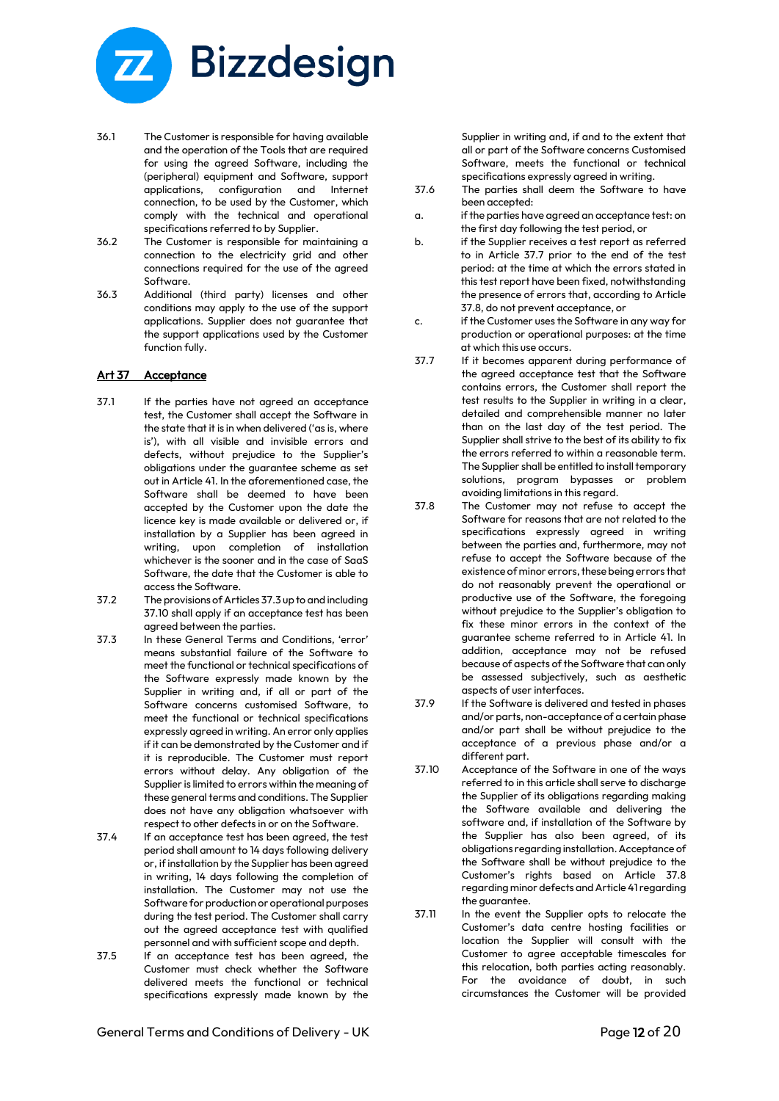

- 36.1 The Customer is responsible for having available and the operation of the Tools that are required for using the agreed Software, including the (peripheral) equipment and Software, support applications, configuration and Internet connection, to be used by the Customer, which comply with the technical and operational specifications referred to by Supplier.
- 36.2 The Customer is responsible for maintaining a connection to the electricity grid and other connections required for the use of the agreed Software.
- 36.3 Additional (third party) licenses and other conditions may apply to the use of the support applications. Supplier does not guarantee that the support applications used by the Customer function fully.

#### Art 37 Acceptance

- 37.1 If the parties have not agreed an acceptance test, the Customer shall accept the Software in the state that it is in when delivered ('as is, where is'), with all visible and invisible errors and defects, without prejudice to the Supplier's obligations under the guarantee scheme as set out in Article 41. In the aforementioned case, the Software shall be deemed to have been accepted by the Customer upon the date the licence key is made available or delivered or, if installation by a Supplier has been agreed in writing, upon completion of installation whichever is the sooner and in the case of SaaS Software, the date that the Customer is able to access the Software.
- 37.2 The provisions of Articles 37.3 up to and including 37.10 shall apply if an acceptance test has been agreed between the parties.
- 37.3 In these General Terms and Conditions, 'error' means substantial failure of the Software to meet the functional or technical specifications of the Software expressly made known by the Supplier in writing and, if all or part of the Software concerns customised Software, to meet the functional or technical specifications expressly agreed in writing. An error only applies if it can be demonstrated by the Customer and if it is reproducible. The Customer must report errors without delay. Any obligation of the Supplier is limited to errors within the meaning of these general terms and conditions. The Supplier does not have any obligation whatsoever with respect to other defects in or on the Software.
- 37.4 If an acceptance test has been agreed, the test period shall amount to 14 days following delivery or, if installation by the Supplier has been agreed in writing, 14 days following the completion of installation. The Customer may not use the Software for production or operational purposes during the test period. The Customer shall carry out the agreed acceptance test with qualified personnel and with sufficient scope and depth.
- 37.5 If an acceptance test has been agreed, the Customer must check whether the Software delivered meets the functional or technical specifications expressly made known by the

Supplier in writing and, if and to the extent that all or part of the Software concerns Customised Software, meets the functional or technical specifications expressly agreed in writing.

- 37.6 The parties shall deem the Software to have been accepted:
- a. if the parties have agreed an acceptance test: on the first day following the test period, or
- b. if the Supplier receives a test report as referred to in Article 37.7 prior to the end of the test period: at the time at which the errors stated in this test report have been fixed, notwithstanding the presence of errors that, according to Article 37.8, do not prevent acceptance, or
- c. if the Customer uses the Software in any way for production or operational purposes: at the time at which this use occurs.
- 37.7 If it becomes apparent during performance of the agreed acceptance test that the Software contains errors, the Customer shall report the test results to the Supplier in writing in a clear, detailed and comprehensible manner no later than on the last day of the test period. The Supplier shall strive to the best of its ability to fix the errors referred to within a reasonable term. The Supplier shall be entitled to install temporary solutions, program bypasses or problem avoiding limitations in this regard.
- 37.8 The Customer may not refuse to accept the Software for reasons that are not related to the specifications expressly agreed in writing between the parties and, furthermore, may not refuse to accept the Software because of the existence of minor errors, these being errors that do not reasonably prevent the operational or productive use of the Software, the foregoing without prejudice to the Supplier's obligation to fix these minor errors in the context of the guarantee scheme referred to in Article 41. In addition, acceptance may not be refused because of aspects of the Software that can only be assessed subjectively, such as aesthetic aspects of user interfaces.
- 37.9 If the Software is delivered and tested in phases and/or parts, non-acceptance of a certain phase and/or part shall be without prejudice to the acceptance of a previous phase and/or a different part.
- 37.10 Acceptance of the Software in one of the ways referred to in this article shall serve to discharge the Supplier of its obligations regarding making the Software available and delivering the software and, if installation of the Software by the Supplier has also been agreed, of its obligations regarding installation. Acceptance of the Software shall be without prejudice to the Customer's rights based on Article 37.8 regarding minor defects and Article 41 regarding the guarantee.
- 37.11 In the event the Supplier opts to relocate the Customer's data centre hosting facilities or location the Supplier will consult with the Customer to agree acceptable timescales for this relocation, both parties acting reasonably. For the avoidance of doubt, in such circumstances the Customer will be provided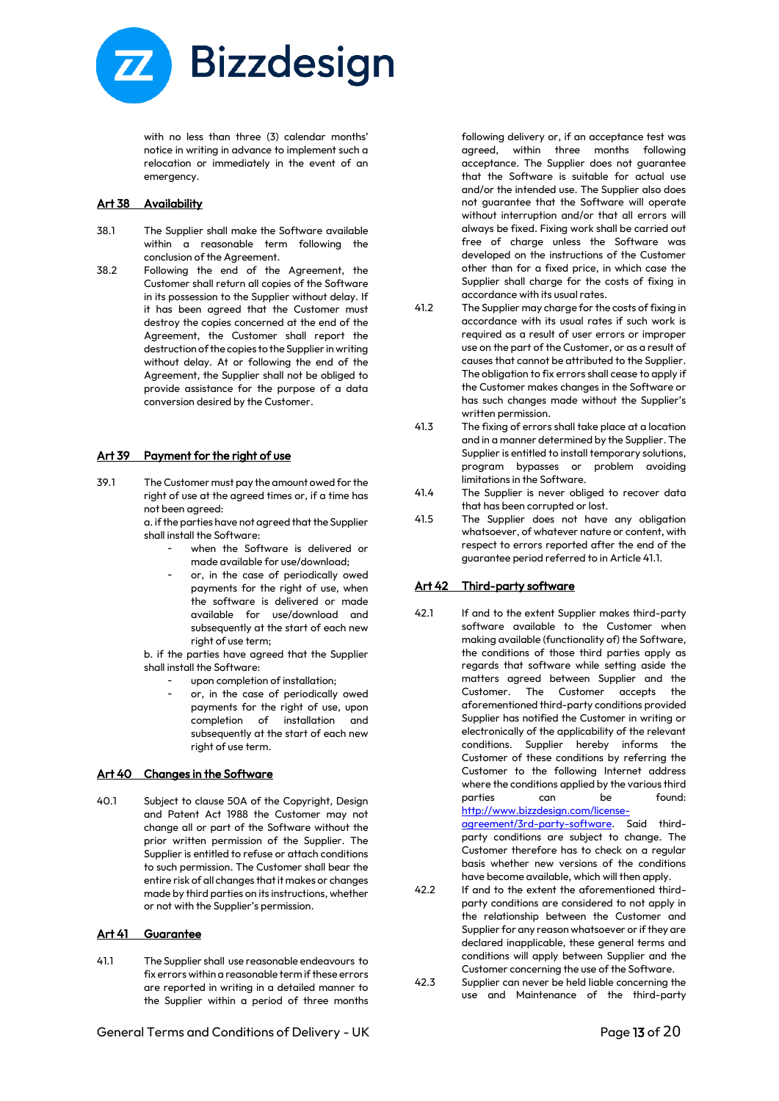

with no less than three (3) calendar months' notice in writing in advance to implement such a relocation or immediately in the event of an emergency.

#### Art 38 Availability

- 38.1 The Supplier shall make the Software available within a reasonable term following the conclusion of the Agreement.
- 38.2 Following the end of the Agreement, the Customer shall return all copies of the Software in its possession to the Supplier without delay. If it has been agreed that the Customer must destroy the copies concerned at the end of the Agreement, the Customer shall report the destruction of the copies to the Supplier in writing without delay. At or following the end of the Agreement, the Supplier shall not be obliged to provide assistance for the purpose of a data conversion desired by the Customer.

#### Art 39 Payment for the right of use

- 39.1 The Customer must pay the amount owed for the right of use at the agreed times or, if a time has not been agreed:
	- a. if the parties have not agreed that the Supplier shall install the Software:
		- when the Software is delivered or made available for use/download;
		- or, in the case of periodically owed payments for the right of use, when the software is delivered or made available for use/download and subsequently at the start of each new right of use term;

b. if the parties have agreed that the Supplier shall install the Software:

- upon completion of installation;
- or, in the case of periodically owed payments for the right of use, upon completion of installation and subsequently at the start of each new right of use term.

#### Art 40 Changes in the Software

40.1 Subject to clause 50A of the Copyright, Design and Patent Act 1988 the Customer may not change all or part of the Software without the prior written permission of the Supplier. The Supplier is entitled to refuse or attach conditions to such permission. The Customer shall bear the entire risk of all changes that it makes or changes made by third parties on its instructions, whether or not with the Supplier's permission.

#### Art 41 Guarantee

41.1 The Supplier shall use reasonable endeavours to fix errors within a reasonable term if these errors are reported in writing in a detailed manner to the Supplier within a period of three months

following delivery or, if an acceptance test was agreed, within three months following acceptance. The Supplier does not guarantee that the Software is suitable for actual use and/or the intended use. The Supplier also does not guarantee that the Software will operate without interruption and/or that all errors will always be fixed. Fixing work shall be carried out free of charge unless the Software was developed on the instructions of the Customer other than for a fixed price, in which case the Supplier shall charge for the costs of fixing in accordance with its usual rates.

- 41.2 The Supplier may charge for the costs of fixing in accordance with its usual rates if such work is required as a result of user errors or improper use on the part of the Customer, or as a result of causes that cannot be attributed to the Supplier. The obligation to fix errors shall cease to apply if the Customer makes changes in the Software or has such changes made without the Supplier's written permission.
- 41.3 The fixing of errors shall take place at a location and in a manner determined by the Supplier. The Supplier is entitled to install temporary solutions, program bypasses or problem avoiding limitations in the Software.
- 41.4 The Supplier is never obliged to recover data that has been corrupted or lost.
- 41.5 The Supplier does not have any obligation whatsoever, of whatever nature or content, with respect to errors reported after the end of the guarantee period referred to in Article 41.1.

#### Art 42 Third-party software

42.1 If and to the extent Supplier makes third-party software available to the Customer when making available (functionality of) the Software, the conditions of those third parties apply as regards that software while setting aside the matters agreed between Supplier and the Customer. The Customer accepts the aforementioned third-party conditions provided Supplier has notified the Customer in writing or electronically of the applicability of the relevant conditions. Supplier hereby informs the Customer of these conditions by referring the Customer to the following Internet address where the conditions applied by the various third<br>norties can be found:  $parties$  can be [http://www.bizzdesign.com/license-](http://www.bizzdesign.com/license-agreement/3rd-party-software)

[agreement/3rd-party-software.](http://www.bizzdesign.com/license-agreement/3rd-party-software) Said thirdparty conditions are subject to change. The Customer therefore has to check on a regular basis whether new versions of the conditions have become available, which will then apply.

- 42.2 If and to the extent the aforementioned thirdparty conditions are considered to not apply in the relationship between the Customer and Supplier for any reason whatsoever or if they are declared inapplicable, these general terms and conditions will apply between Supplier and the Customer concerning the use of the Software.
- 42.3 Supplier can never be held liable concerning the use and Maintenance of the third-party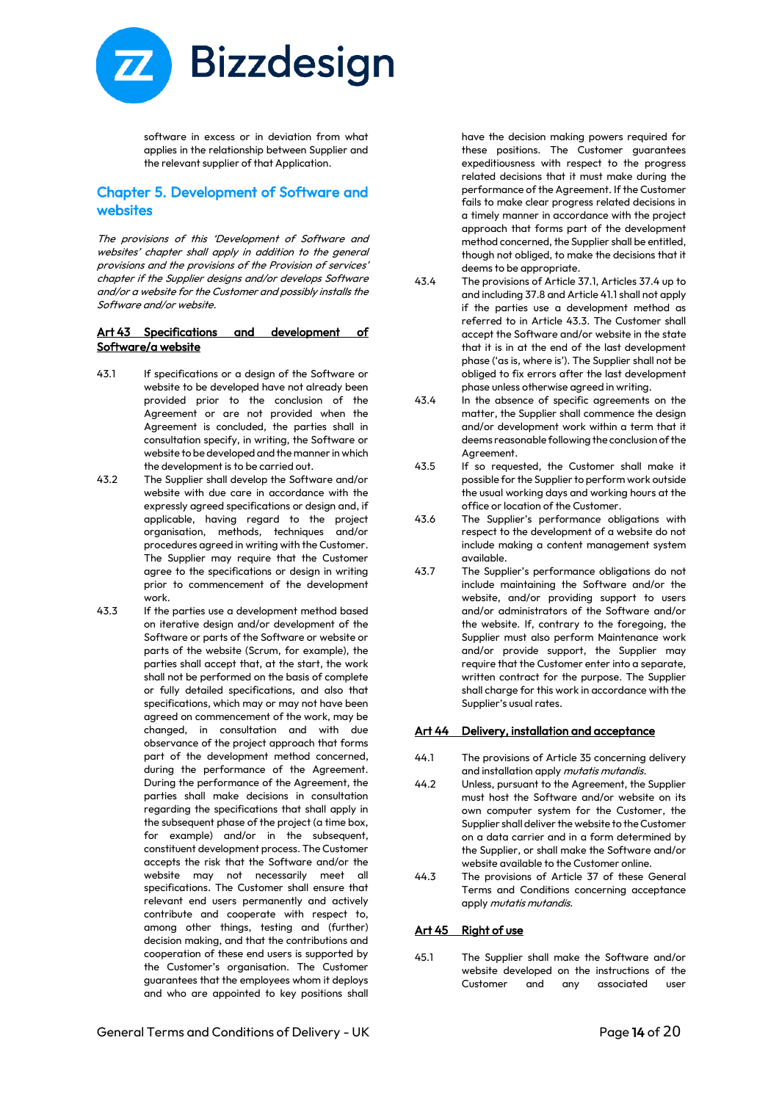

software in excess or in deviation from what applies in the relationship between Supplier and the relevant supplier of that Application.

# Chapter 5. Development of Software and websites

The provisions of this 'Development of Software and websites' chapter shall apply in addition to the general provisions and the provisions of the Provision of services' chapter if the Supplier designs and/or develops Software and/or a website for the Customer and possibly installs the Software and/or website.

#### Art 43 Specifications and development of Software/a website

- 43.1 If specifications or a design of the Software or website to be developed have not already been provided prior to the conclusion of the Agreement or are not provided when the Agreement is concluded, the parties shall in consultation specify, in writing, the Software or website to be developed and the manner in which the development is to be carried out.
- 43.2 The Supplier shall develop the Software and/or website with due care in accordance with the expressly agreed specifications or design and, if applicable, having regard to the project organisation, methods, techniques and/or procedures agreed in writing with the Customer. The Supplier may require that the Customer agree to the specifications or design in writing prior to commencement of the development work.
- 43.3 If the parties use a development method based on iterative design and/or development of the Software or parts of the Software or website or parts of the website (Scrum, for example), the parties shall accept that, at the start, the work shall not be performed on the basis of complete or fully detailed specifications, and also that specifications, which may or may not have been agreed on commencement of the work, may be changed, in consultation and with due observance of the project approach that forms part of the development method concerned, during the performance of the Agreement. During the performance of the Agreement, the parties shall make decisions in consultation regarding the specifications that shall apply in the subsequent phase of the project (a time box, for example) and/or in the subsequent, constituent development process. The Customer accepts the risk that the Software and/or the website may not necessarily meet all specifications. The Customer shall ensure that relevant end users permanently and actively contribute and cooperate with respect to, among other things, testing and (further) decision making, and that the contributions and cooperation of these end users is supported by the Customer's organisation. The Customer guarantees that the employees whom it deploys and who are appointed to key positions shall

have the decision making powers required for these positions. The Customer guarantees expeditiousness with respect to the progress related decisions that it must make during the performance of the Agreement. If the Customer fails to make clear progress related decisions in a timely manner in accordance with the project approach that forms part of the development method concerned, the Supplier shall be entitled, though not obliged, to make the decisions that it deems to be appropriate.

- 43.4 The provisions of Article 37.1, Articles 37.4 up to and including 37.8 and Article 41.1 shall not apply if the parties use a development method as referred to in Article 43.3. The Customer shall accept the Software and/or website in the state that it is in at the end of the last development phase ('as is, where is'). The Supplier shall not be obliged to fix errors after the last development phase unless otherwise agreed in writing.
- 43.4 In the absence of specific agreements on the matter, the Supplier shall commence the design and/or development work within a term that it deems reasonable following the conclusion of the Agreement.
- 43.5 If so requested, the Customer shall make it possible for the Supplier to perform work outside the usual working days and working hours at the office or location of the Customer.
- 43.6 The Supplier's performance obligations with respect to the development of a website do not include making a content management system available.
- 43.7 The Supplier's performance obligations do not include maintaining the Software and/or the website, and/or providing support to users and/or administrators of the Software and/or the website. If, contrary to the foregoing, the Supplier must also perform Maintenance work and/or provide support, the Supplier may require that the Customer enter into a separate, written contract for the purpose. The Supplier shall charge for this work in accordance with the Supplier's usual rates.

#### Art 44 Delivery, installation and acceptance

- 44.1 The provisions of Article 35 concerning delivery and installation apply *mutatis mutandis*.
- 44.2 Unless, pursuant to the Agreement, the Supplier must host the Software and/or website on its own computer system for the Customer, the Supplier shall deliver the website to the Customer on a data carrier and in a form determined by the Supplier, or shall make the Software and/or website available to the Customer online.
- 44.3 The provisions of Article 37 of these General Terms and Conditions concerning acceptance apply mutatis mutandis.

#### Art 45 Right of use

45.1 The Supplier shall make the Software and/or website developed on the instructions of the Customer and any associated user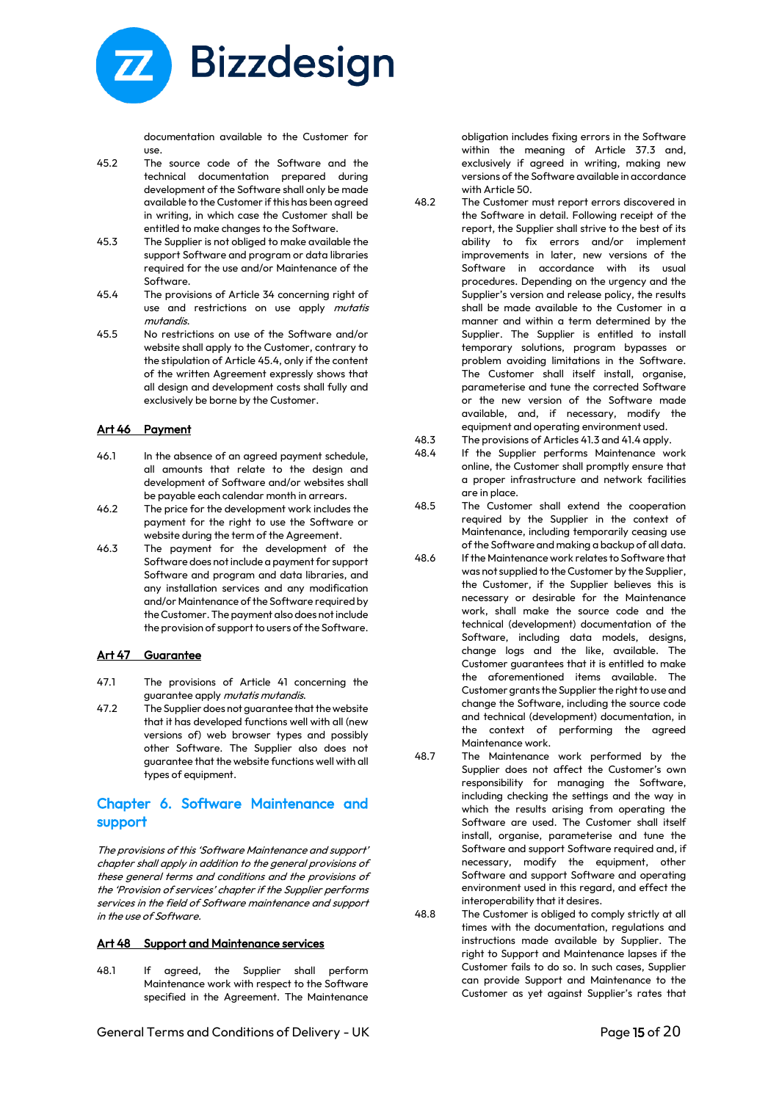

documentation available to the Customer for use.

- 45.2 The source code of the Software and the technical documentation prepared during development of the Software shall only be made available to the Customer if this has been agreed in writing, in which case the Customer shall be entitled to make changes to the Software.
- 45.3 The Supplier is not obliged to make available the support Software and program or data libraries required for the use and/or Maintenance of the Software.
- 45.4 The provisions of Article 34 concerning right of use and restrictions on use apply mutatis mutandis.
- 45.5 No restrictions on use of the Software and/or website shall apply to the Customer, contrary to the stipulation of Article 45.4, only if the content of the written Agreement expressly shows that all design and development costs shall fully and exclusively be borne by the Customer.

#### Art 46 Payment

- 46.1 In the absence of an agreed payment schedule, all amounts that relate to the design and development of Software and/or websites shall be payable each calendar month in arrears.
- 46.2 The price for the development work includes the payment for the right to use the Software or website during the term of the Agreement.
- 46.3 The payment for the development of the Software does not include a payment for support Software and program and data libraries, and any installation services and any modification and/or Maintenance of the Software required by the Customer. The payment also does not include the provision of support to users of the Software.

#### Art 47 Guarantee

- 47.1 The provisions of Article 41 concerning the guarantee apply mutatis mutandis.
- 47.2 The Supplier does not guarantee that the website that it has developed functions well with all (new versions of) web browser types and possibly other Software. The Supplier also does not guarantee that the website functions well with all types of equipment.

# Chapter 6. Software Maintenance and support

The provisions of this 'Software Maintenance and support' chapter shall apply in addition to the general provisions of these general terms and conditions and the provisions of the 'Provision of services' chapter if the Supplier performs services in the field of Software maintenance and support in the use of Software.

#### Art 48 Support and Maintenance services

48.1 If agreed, the Supplier shall perform Maintenance work with respect to the Software specified in the Agreement. The Maintenance

obligation includes fixing errors in the Software within the meaning of Article 37.3 and, exclusively if agreed in writing, making new versions of the Software available in accordance with Article 50.

- 48.2 The Customer must report errors discovered in the Software in detail. Following receipt of the report, the Supplier shall strive to the best of its ability to fix errors and/or implement improvements in later, new versions of the Software in accordance with its usual procedures. Depending on the urgency and the Supplier's version and release policy, the results shall be made available to the Customer in a manner and within a term determined by the Supplier. The Supplier is entitled to install temporary solutions, program bypasses or problem avoiding limitations in the Software. The Customer shall itself install, organise, parameterise and tune the corrected Software or the new version of the Software made available, and, if necessary, modify the equipment and operating environment used.
- 48.3 The provisions of Articles 41.3 and 41.4 apply.
- 48.4 If the Supplier performs Maintenance work online, the Customer shall promptly ensure that a proper infrastructure and network facilities are in place.
- 48.5 The Customer shall extend the cooperation required by the Supplier in the context of Maintenance, including temporarily ceasing use of the Software and making a backup of all data.
- 48.6 If the Maintenance work relates to Software that was not supplied to the Customer by the Supplier, the Customer, if the Supplier believes this is necessary or desirable for the Maintenance work, shall make the source code and the technical (development) documentation of the Software, including data models, designs, change logs and the like, available. The Customer guarantees that it is entitled to make the aforementioned items available. The Customer grants the Supplier the right to use and change the Software, including the source code and technical (development) documentation, in the context of performing the agreed Maintenance work.
- 48.7 The Maintenance work performed by the Supplier does not affect the Customer's own responsibility for managing the Software, including checking the settings and the way in which the results arising from operating the Software are used. The Customer shall itself install, organise, parameterise and tune the Software and support Software required and, if necessary, modify the equipment, other Software and support Software and operating environment used in this regard, and effect the interoperability that it desires.
- 48.8 The Customer is obliged to comply strictly at all times with the documentation, regulations and instructions made available by Supplier. The right to Support and Maintenance lapses if the Customer fails to do so. In such cases, Supplier can provide Support and Maintenance to the Customer as yet against Supplier's rates that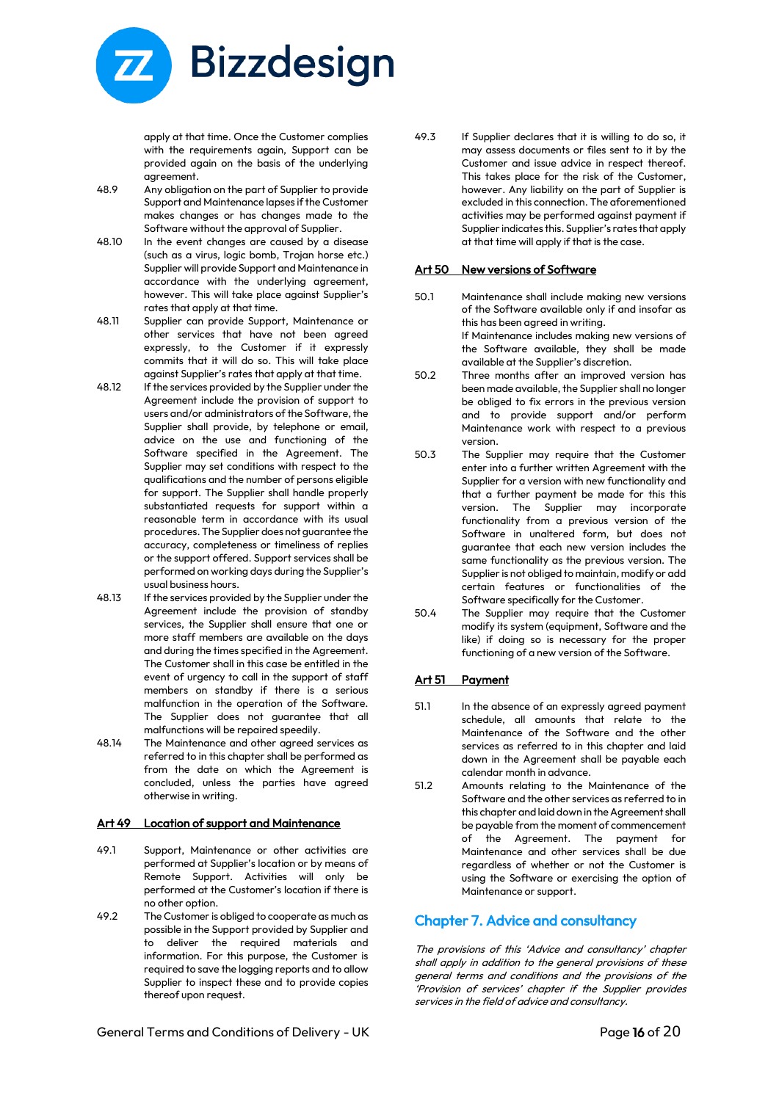

apply at that time. Once the Customer complies with the requirements again, Support can be provided again on the basis of the underlying agreement.

- 48.9 Any obligation on the part of Supplier to provide Support and Maintenance lapses if the Customer makes changes or has changes made to the Software without the approval of Supplier.
- 48.10 In the event changes are caused by a disease (such as a virus, logic bomb, Trojan horse etc.) Supplier will provide Support and Maintenance in accordance with the underlying agreement, however. This will take place against Supplier's rates that apply at that time.
- 48.11 Supplier can provide Support, Maintenance or other services that have not been agreed expressly, to the Customer if it expressly commits that it will do so. This will take place against Supplier's rates that apply at that time.
- 48.12 If the services provided by the Supplier under the Agreement include the provision of support to users and/or administrators of the Software, the Supplier shall provide, by telephone or email, advice on the use and functioning of the Software specified in the Agreement. The Supplier may set conditions with respect to the qualifications and the number of persons eligible for support. The Supplier shall handle properly substantiated requests for support within a reasonable term in accordance with its usual procedures. The Supplier does not guarantee the accuracy, completeness or timeliness of replies or the support offered. Support services shall be performed on working days during the Supplier's usual business hours.
- 48.13 If the services provided by the Supplier under the Agreement include the provision of standby services, the Supplier shall ensure that one or more staff members are available on the days and during the times specified in the Agreement. The Customer shall in this case be entitled in the event of urgency to call in the support of staff members on standby if there is a serious malfunction in the operation of the Software. The Supplier does not guarantee that all malfunctions will be repaired speedily.
- 48.14 The Maintenance and other agreed services as referred to in this chapter shall be performed as from the date on which the Agreement is concluded, unless the parties have agreed otherwise in writing.

#### Art 49 Location of support and Maintenance

- 49.1 Support, Maintenance or other activities are performed at Supplier's location or by means of Remote Support. Activities will only be performed at the Customer's location if there is no other option.
- 49.2 The Customer is obliged to cooperate as much as possible in the Support provided by Supplier and to deliver the required materials and information. For this purpose, the Customer is required to save the logging reports and to allow Supplier to inspect these and to provide copies thereof upon request.

49.3 If Supplier declares that it is willing to do so, it may assess documents or files sent to it by the Customer and issue advice in respect thereof. This takes place for the risk of the Customer, however. Any liability on the part of Supplier is excluded in this connection. The aforementioned activities may be performed against payment if Supplier indicates this. Supplier's rates that apply at that time will apply if that is the case.

#### Art 50 New versions of Software

- 50.1 Maintenance shall include making new versions of the Software available only if and insofar as this has been agreed in writing. If Maintenance includes making new versions of the Software available, they shall be made available at the Supplier's discretion.
- 50.2 Three months after an improved version has been made available, the Supplier shall no longer be obliged to fix errors in the previous version and to provide support and/or perform Maintenance work with respect to a previous version.
- 50.3 The Supplier may require that the Customer enter into a further written Agreement with the Supplier for a version with new functionality and that a further payment be made for this this version. The Supplier may incorporate functionality from a previous version of the Software in unaltered form, but does not guarantee that each new version includes the same functionality as the previous version. The Supplier is not obliged to maintain, modify or add certain features or functionalities of the Software specifically for the Customer.
- 50.4 The Supplier may require that the Customer modify its system (equipment, Software and the like) if doing so is necessary for the proper functioning of a new version of the Software.

# Art 51 Payment

- 51.1 In the absence of an expressly agreed payment schedule, all amounts that relate to the Maintenance of the Software and the other services as referred to in this chapter and laid down in the Agreement shall be payable each calendar month in advance.
- 51.2 Amounts relating to the Maintenance of the Software and the other services as referred to in this chapter and laid down in the Agreement shall be payable from the moment of commencement of the Agreement. The payment for Maintenance and other services shall be due regardless of whether or not the Customer is using the Software or exercising the option of Maintenance or support.

# Chapter 7. Advice and consultancy

The provisions of this 'Advice and consultancy' chapter shall apply in addition to the general provisions of these general terms and conditions and the provisions of the 'Provision of services' chapter if the Supplier provides services in the field of advice and consultancy.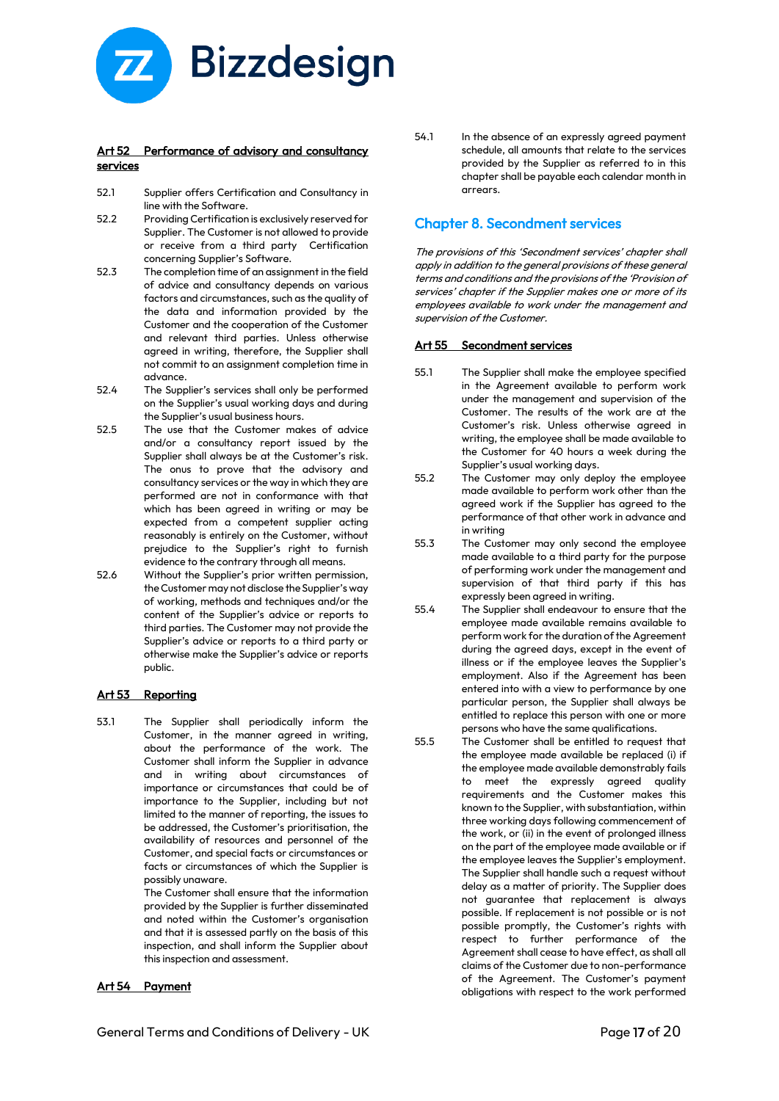

#### Art 52 Performance of advisory and consultancy services

- $52.1$ Supplier offers Certification and Consultancy in line with the Software.
- 52.2 Providing Certification is exclusively reserved for Supplier. The Customer is not allowed to provide or receive from a third party Certification concerning Supplier's Software.
- 52.3 The completion time of an assignment in the field of advice and consultancy depends on various factors and circumstances, such as the quality of the data and information provided by the Customer and the cooperation of the Customer and relevant third parties. Unless otherwise agreed in writing, therefore, the Supplier shall not commit to an assignment completion time in advance.
- 52.4 The Supplier's services shall only be performed on the Supplier's usual working days and during the Supplier's usual business hours.
- 52.5 The use that the Customer makes of advice and/or a consultancy report issued by the Supplier shall always be at the Customer's risk. The onus to prove that the advisory and consultancy services or the way in which they are performed are not in conformance with that which has been agreed in writing or may be expected from a competent supplier acting reasonably is entirely on the Customer, without prejudice to the Supplier's right to furnish evidence to the contrary through all means.
- 52.6 Without the Supplier's prior written permission, the Customer may not disclose the Supplier's way of working, methods and techniques and/or the content of the Supplier's advice or reports to third parties. The Customer may not provide the Supplier's advice or reports to a third party or otherwise make the Supplier's advice or reports public.

#### Art 53 Reporting

53.1 The Supplier shall periodically inform the Customer, in the manner agreed in writing, about the performance of the work. The Customer shall inform the Supplier in advance and in writing about circumstances of importance or circumstances that could be of importance to the Supplier, including but not limited to the manner of reporting, the issues to be addressed, the Customer's prioritisation, the availability of resources and personnel of the Customer, and special facts or circumstances or facts or circumstances of which the Supplier is possibly unaware.

The Customer shall ensure that the information provided by the Supplier is further disseminated and noted within the Customer's organisation and that it is assessed partly on the basis of this inspection, and shall inform the Supplier about this inspection and assessment.

# Art 54 Payment

54.1 In the absence of an expressly agreed payment schedule, all amounts that relate to the services provided by the Supplier as referred to in this chapter shall be payable each calendar month in arrears.

# Chapter 8. Secondment services

The provisions of this 'Secondment services' chapter shall apply in addition to the general provisions of these general terms and conditions and the provisions of the 'Provision of services' chapter if the Supplier makes one or more of its employees available to work under the management and supervision of the Customer.

#### Art 55 Secondment services

- 55.1 The Supplier shall make the employee specified in the Agreement available to perform work under the management and supervision of the Customer. The results of the work are at the Customer's risk. Unless otherwise agreed in writing, the employee shall be made available to the Customer for 40 hours a week during the Supplier's usual working days.
- 55.2 The Customer may only deploy the employee made available to perform work other than the agreed work if the Supplier has agreed to the performance of that other work in advance and in writing
- 55.3 The Customer may only second the employee made available to a third party for the purpose of performing work under the management and supervision of that third party if this has expressly been agreed in writing.
- 55.4 The Supplier shall endeavour to ensure that the employee made available remains available to perform work for the duration of the Agreement during the agreed days, except in the event of illness or if the employee leaves the Supplier's employment. Also if the Agreement has been entered into with a view to performance by one particular person, the Supplier shall always be entitled to replace this person with one or more persons who have the same qualifications.
- 55.5 The Customer shall be entitled to request that the employee made available be replaced (i) if the employee made available demonstrably fails to meet the expressly agreed quality requirements and the Customer makes this known to the Supplier, with substantiation, within three working days following commencement of the work, or (ii) in the event of prolonged illness on the part of the employee made available or if the employee leaves the Supplier's employment. The Supplier shall handle such a request without delay as a matter of priority. The Supplier does not guarantee that replacement is always possible. If replacement is not possible or is not possible promptly, the Customer's rights with respect to further performance of the Agreement shall cease to have effect, as shall all claims of the Customer due to non-performance of the Agreement. The Customer's payment obligations with respect to the work performed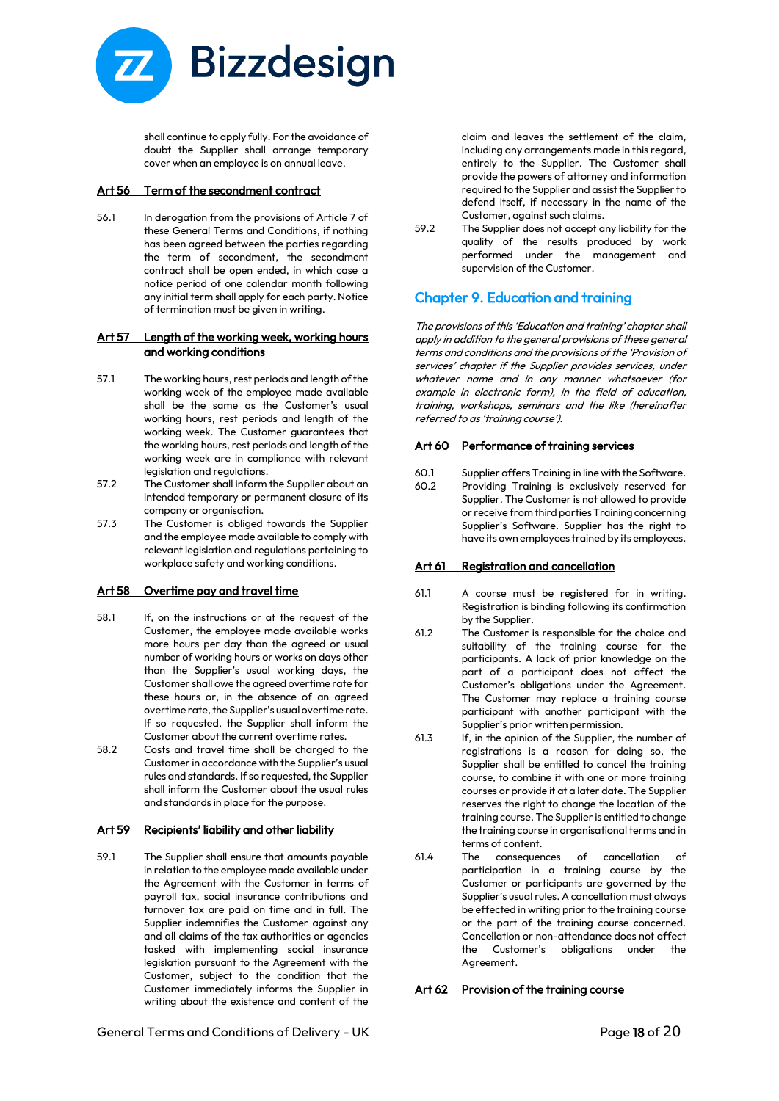

shall continue to apply fully. For the avoidance of doubt the Supplier shall arrange temporary cover when an employee is on annual leave.

#### Art 56 Term of the secondment contract

56.1 In derogation from the provisions of Article 7 of these General Terms and Conditions, if nothing has been agreed between the parties regarding the term of secondment, the secondment contract shall be open ended, in which case a notice period of one calendar month following any initial term shall apply for each party. Notice of termination must be given in writing.

#### Art 57 Length of the working week, working hours and working conditions

- 57.1 The working hours, rest periods and length of the working week of the employee made available shall be the same as the Customer's usual working hours, rest periods and length of the working week. The Customer guarantees that the working hours, rest periods and length of the working week are in compliance with relevant legislation and regulations.
- 57.2 The Customer shall inform the Supplier about an intended temporary or permanent closure of its company or organisation.
- 57.3 The Customer is obliged towards the Supplier and the employee made available to comply with relevant legislation and regulations pertaining to workplace safety and working conditions.

#### Art 58 Overtime pay and travel time

- 58.1 If, on the instructions or at the request of the Customer, the employee made available works more hours per day than the agreed or usual number of working hours or works on days other than the Supplier's usual working days, the Customer shall owe the agreed overtime rate for these hours or, in the absence of an agreed overtime rate, the Supplier's usual overtime rate. If so requested, the Supplier shall inform the Customer about the current overtime rates.
- 58.2 Costs and travel time shall be charged to the Customer in accordance with the Supplier's usual rules and standards. If so requested, the Supplier shall inform the Customer about the usual rules and standards in place for the purpose.

#### Art 59 Recipients' liability and other liability

59.1 The Supplier shall ensure that amounts payable in relation to the employee made available under the Agreement with the Customer in terms of payroll tax, social insurance contributions and turnover tax are paid on time and in full. The Supplier indemnifies the Customer against any and all claims of the tax authorities or agencies tasked with implementing social insurance legislation pursuant to the Agreement with the Customer, subject to the condition that the Customer immediately informs the Supplier in writing about the existence and content of the

claim and leaves the settlement of the claim, including any arrangements made in this regard, entirely to the Supplier. The Customer shall provide the powers of attorney and information required to the Supplier and assist the Supplier to defend itself, if necessary in the name of the Customer, against such claims.

59.2 The Supplier does not accept any liability for the quality of the results produced by work performed under the management and supervision of the Customer.

# Chapter 9. Education and training

The provisions of this 'Education and training' chapter shall apply in addition to the general provisions of these general terms and conditions and the provisions of the 'Provision of services' chapter if the Supplier provides services, under whatever name and in any manner whatsoever (for example in electronic form), in the field of education, training, workshops, seminars and the like (hereinafter referred to as 'training course').

#### Art 60 Performance of training services

- 60.1 Supplier offers Training in line with the Software.
- Providing Training is exclusively reserved for Supplier. The Customer is not allowed to provide or receive from third parties Training concerning Supplier's Software. Supplier has the right to have its own employees trained by its employees.

#### Art 61 Registration and cancellation

- 61.1 A course must be registered for in writing. Registration is binding following its confirmation by the Supplier.
- 61.2 The Customer is responsible for the choice and suitability of the training course for the participants. A lack of prior knowledge on the part of a participant does not affect the Customer's obligations under the Agreement. The Customer may replace a training course participant with another participant with the Supplier's prior written permission.
- 61.3 If, in the opinion of the Supplier, the number of registrations is a reason for doing so, the Supplier shall be entitled to cancel the training course, to combine it with one or more training courses or provide it at a later date. The Supplier reserves the right to change the location of the training course. The Supplier is entitled to change the training course in organisational terms and in terms of content.
- 61.4 The consequences of cancellation of participation in a training course by the Customer or participants are governed by the Supplier's usual rules. A cancellation must always be effected in writing prior to the training course or the part of the training course concerned. Cancellation or non-attendance does not affect the Customer's obligations under the Agreement.

#### Art 62 Provision of the training course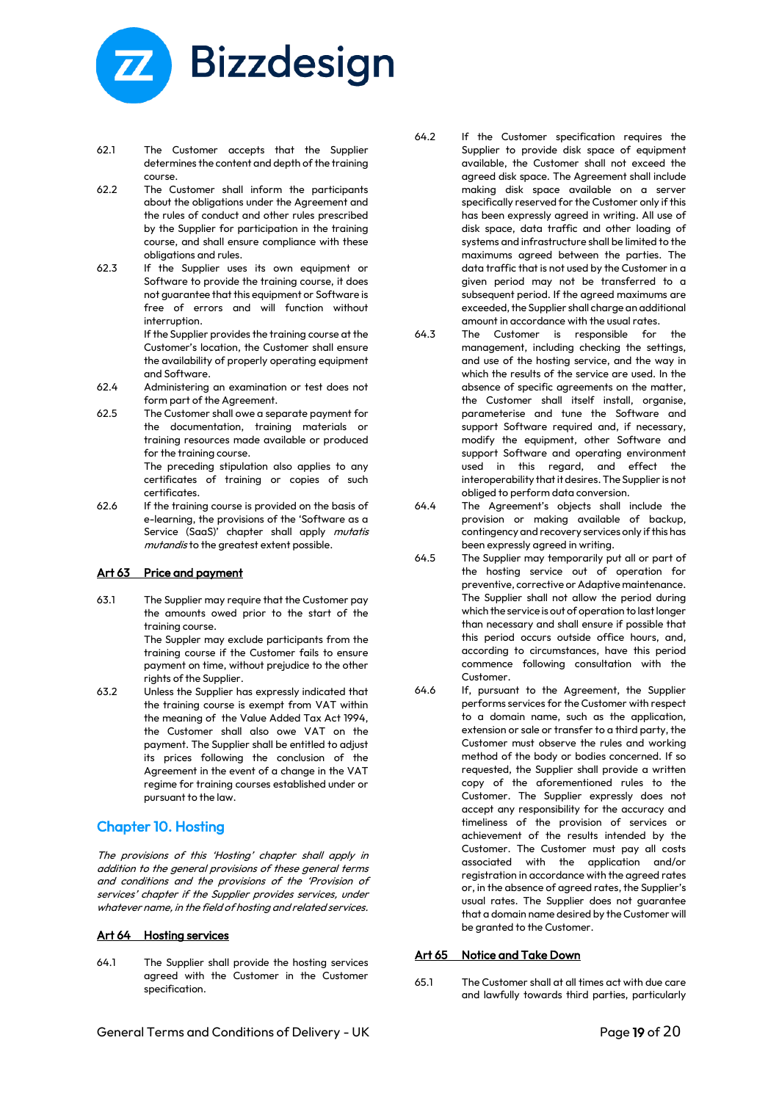

- 62.1 The Customer accepts that the Supplier determines the content and depth of the training course.
- 62.2 The Customer shall inform the participants about the obligations under the Agreement and the rules of conduct and other rules prescribed by the Supplier for participation in the training course, and shall ensure compliance with these obligations and rules.
- 62.3 If the Supplier uses its own equipment or Software to provide the training course, it does not guarantee that this equipment or Software is free of errors and will function without interruption.

If the Supplier provides the training course at the Customer's location, the Customer shall ensure the availability of properly operating equipment and Software.

- 62.4 Administering an examination or test does not form part of the Agreement.
- 62.5 The Customer shall owe a separate payment for the documentation, training materials or training resources made available or produced for the training course.

The preceding stipulation also applies to any certificates of training or copies of such certificates.

62.6 If the training course is provided on the basis of e-learning, the provisions of the 'Software as a Service (SaaS)' chapter shall apply mutatis mutandis to the greatest extent possible.

#### Art 63 Price and payment

63.1 The Supplier may require that the Customer pay the amounts owed prior to the start of the training course.

The Suppler may exclude participants from the training course if the Customer fails to ensure payment on time, without prejudice to the other rights of the Supplier.

63.2 Unless the Supplier has expressly indicated that the training course is exempt from VAT within the meaning of the Value Added Tax Act 1994, the Customer shall also owe VAT on the payment. The Supplier shall be entitled to adjust its prices following the conclusion of the Agreement in the event of a change in the VAT regime for training courses established under or pursuant to the law.

# Chapter 10. Hosting

The provisions of this 'Hosting' chapter shall apply in addition to the general provisions of these general terms and conditions and the provisions of the 'Provision of services' chapter if the Supplier provides services, under whatever name, in the field of hosting and related services.

#### Art 64 Hosting services

64.1 The Supplier shall provide the hosting services agreed with the Customer in the Customer specification.

- 64.2 If the Customer specification requires the Supplier to provide disk space of equipment available, the Customer shall not exceed the agreed disk space. The Agreement shall include making disk space available on a server specifically reserved for the Customer only if this has been expressly agreed in writing. All use of disk space, data traffic and other loading of systems and infrastructure shall be limited to the maximums agreed between the parties. The data traffic that is not used by the Customer in a given period may not be transferred to a subsequent period. If the agreed maximums are exceeded, the Supplier shall charge an additional amount in accordance with the usual rates.
- 64.3 The Customer is responsible for management, including checking the settings, and use of the hosting service, and the way in which the results of the service are used. In the absence of specific agreements on the matter, the Customer shall itself install, organise, parameterise and tune the Software and support Software required and, if necessary, modify the equipment, other Software and support Software and operating environment used in this regard, and effect the interoperability that it desires. The Supplier is not obliged to perform data conversion.
- 64.4 The Agreement's objects shall include the provision or making available of backup, contingency and recovery services only if this has been expressly agreed in writing.
- 64.5 The Supplier may temporarily put all or part of the hosting service out of operation for preventive, corrective or Adaptive maintenance. The Supplier shall not allow the period during which the service is out of operation to last longer than necessary and shall ensure if possible that this period occurs outside office hours, and, according to circumstances, have this period commence following consultation with the Customer.
- 64.6 If, pursuant to the Agreement, the Supplier performs services for the Customer with respect to a domain name, such as the application, extension or sale or transfer to a third party, the Customer must observe the rules and working method of the body or bodies concerned. If so requested, the Supplier shall provide a written copy of the aforementioned rules to the Customer. The Supplier expressly does not accept any responsibility for the accuracy and timeliness of the provision of services or achievement of the results intended by the Customer. The Customer must pay all costs associated with the application and/or registration in accordance with the agreed rates or, in the absence of agreed rates, the Supplier's usual rates. The Supplier does not guarantee that a domain name desired by the Customer will be granted to the Customer.

#### Art 65 Notice and Take Down

65.1 The Customer shall at all times act with due care and lawfully towards third parties, particularly